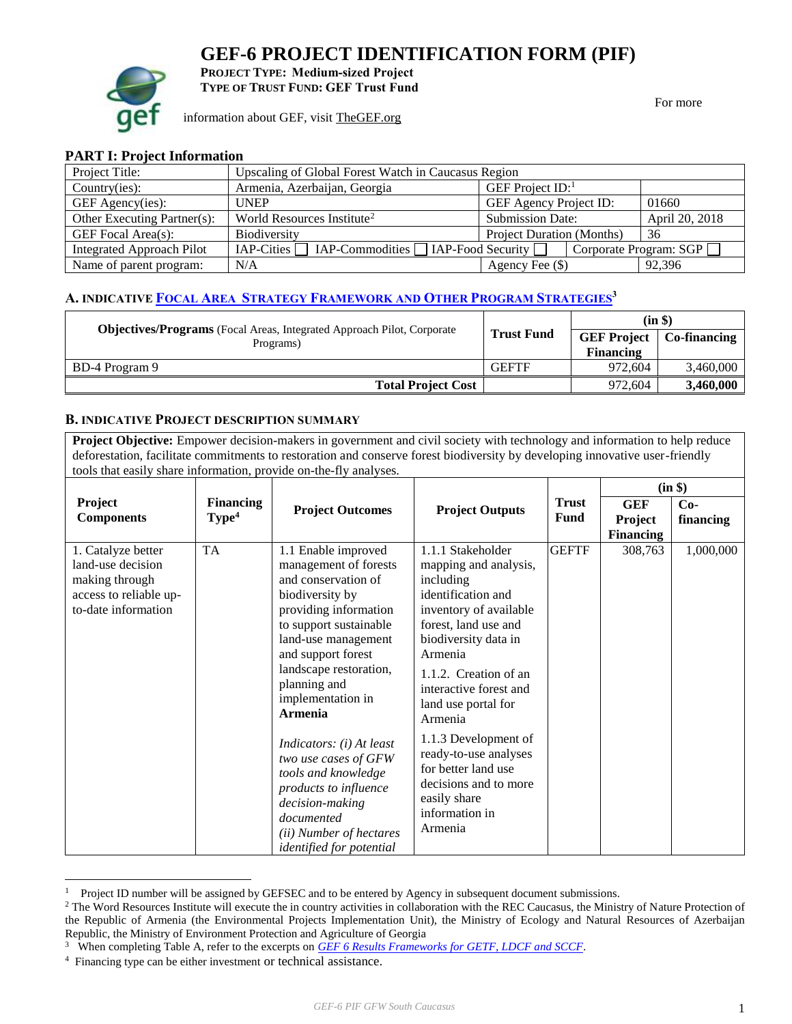# **GEF-6 PROJECT IDENTIFICATION FORM (PIF)**



**PROJECT TYPE: Medium-sized Project TYPE OF TRUST FUND: GEF Trust Fund**

information about GEF, visit [TheGEF.org](http://www.thegef.org/gef/home)

For more

# **PART I: Project Information**

| Project Title:                   | Upscaling of Global Forest Watch in Caucasus Region |                                  |                        |  |  |  |
|----------------------------------|-----------------------------------------------------|----------------------------------|------------------------|--|--|--|
| Country(ies):                    | Armenia, Azerbaijan, Georgia                        | GEF Project $ID$ :               |                        |  |  |  |
| GEF Agency(ies):                 | <b>GEF Agency Project ID:</b><br><b>UNEP</b>        |                                  | 01660                  |  |  |  |
| Other Executing Partner(s):      | World Resources Institute <sup>2</sup>              | <b>Submission Date:</b>          | April 20, 2018         |  |  |  |
| GEF Focal Area(s):               | <b>Biodiversity</b>                                 | <b>Project Duration (Months)</b> | -36                    |  |  |  |
| <b>Integrated Approach Pilot</b> | $IAP-Cities$ $IAP-Commodities$ $IAP-Food Security$  |                                  | Corporate Program: SGP |  |  |  |
| Name of parent program:          | N/A                                                 | Agency Fee $(\$)$                | 92.396                 |  |  |  |

# **A. INDICATIVE FOCAL AREA STRATEGY F[RAMEWORK AND](https://www.thegef.org/gef/sites/thegef.org/files/documents/document/GEF6%20Results%20Framework%20for%20GEFTF%20and%20LDCF.SCCF_.pdf) OTHER PROGRAM STRATEGIES<sup>3</sup>**

| <b>Objectives/Programs</b> (Focal Areas, Integrated Approach Pilot, Corporate |                   | $(in \$          |                                   |  |
|-------------------------------------------------------------------------------|-------------------|------------------|-----------------------------------|--|
| Programs)                                                                     | <b>Trust Fund</b> |                  | <b>GEF Project</b>   Co-financing |  |
|                                                                               |                   | <b>Financing</b> |                                   |  |
| BD-4 Program 9                                                                | <b>GEFTF</b>      | 972.604          | 3.460,000                         |  |
| <b>Total Project Cost</b>                                                     |                   | 972.604          | 3,460,000                         |  |

#### **B. INDICATIVE PROJECT DESCRIPTION SUMMARY**

Project Objective: Empower decision-makers in government and civil society with technology and information to help reduce deforestation, facilitate commitments to restoration and conserve forest biodiversity by developing innovative user-friendly tools that easily share information, provide on-the-fly analyses.

|                                                                                                            |                                       |                                                                                                                                                                                                                                                                                                                             |                                                                                                                                                                                                                                                                                                                                 |                             | (in \$)                                   |                    |  |
|------------------------------------------------------------------------------------------------------------|---------------------------------------|-----------------------------------------------------------------------------------------------------------------------------------------------------------------------------------------------------------------------------------------------------------------------------------------------------------------------------|---------------------------------------------------------------------------------------------------------------------------------------------------------------------------------------------------------------------------------------------------------------------------------------------------------------------------------|-----------------------------|-------------------------------------------|--------------------|--|
| Project<br><b>Components</b>                                                                               | <b>Financing</b><br>Type <sup>4</sup> | <b>Project Outcomes</b>                                                                                                                                                                                                                                                                                                     | <b>Project Outputs</b>                                                                                                                                                                                                                                                                                                          | <b>Trust</b><br><b>Fund</b> | <b>GEF</b><br>Project<br><b>Financing</b> | $Co-$<br>financing |  |
| 1. Catalyze better<br>land-use decision<br>making through<br>access to reliable up-<br>to-date information | <b>TA</b>                             | 1.1 Enable improved<br>management of forests<br>and conservation of<br>biodiversity by<br>providing information<br>to support sustainable<br>land-use management<br>and support forest<br>landscape restoration,<br>planning and<br>implementation in<br><b>Armenia</b><br>Indicators: (i) At least<br>two use cases of GFW | 1.1.1 Stakeholder<br>mapping and analysis,<br>including<br>identification and<br>inventory of available<br>forest, land use and<br>biodiversity data in<br>Armenia<br>1.1.2. Creation of an<br>interactive forest and<br>land use portal for<br>Armenia<br>1.1.3 Development of<br>ready-to-use analyses<br>for better land use | <b>GEFTF</b>                | 308,763                                   | 1,000,000          |  |
|                                                                                                            |                                       | tools and knowledge<br>products to influence<br>decision-making<br>documented<br>(ii) Number of hectares<br><i>identified for potential</i>                                                                                                                                                                                 | decisions and to more<br>easily share<br>information in<br>Armenia                                                                                                                                                                                                                                                              |                             |                                           |                    |  |

<sup>1</sup> Project ID number will be assigned by GEFSEC and to be entered by Agency in subsequent document submissions.

<sup>&</sup>lt;sup>2</sup> The Word Resources Institute will execute the in country activities in collaboration with the REC Caucasus, the Ministry of Nature Protection of the Republic of Armenia (the Environmental Projects Implementation Unit), the Ministry of Ecology and Natural Resources of Azerbaijan Republic, the Ministry of Environment Protection and Agriculture of Georgia

<sup>3</sup> When completing Table A, refer to the excerpts on *[GEF 6 Results Frameworks for GETF, LDCF and SCCF](https://www.thegef.org/gef/sites/thegef.org/files/documents/document/GEF6%20Results%20Framework%20for%20GEFTF%20and%20LDCF.SCCF_.pdf)*.

<sup>4</sup> Financing type can be either investment or technical assistance.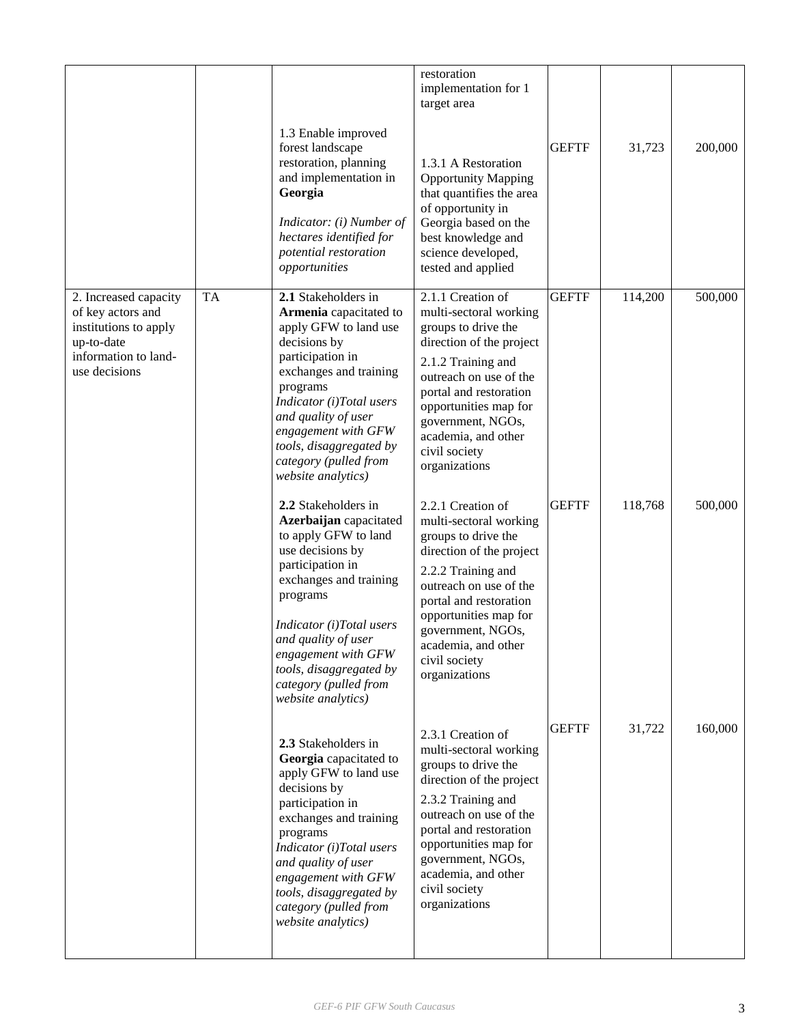|                                                                                                                            |           | 1.3 Enable improved<br>forest landscape<br>restoration, planning<br>and implementation in<br>Georgia<br>Indicator: (i) Number of<br>hectares identified for<br>potential restoration<br>opportunities                                                                                                   | restoration<br>implementation for 1<br>target area<br>1.3.1 A Restoration<br><b>Opportunity Mapping</b><br>that quantifies the area<br>of opportunity in<br>Georgia based on the<br>best knowledge and<br>science developed,<br>tested and applied                              | <b>GEFTF</b> | 31,723  | 200,000 |
|----------------------------------------------------------------------------------------------------------------------------|-----------|---------------------------------------------------------------------------------------------------------------------------------------------------------------------------------------------------------------------------------------------------------------------------------------------------------|---------------------------------------------------------------------------------------------------------------------------------------------------------------------------------------------------------------------------------------------------------------------------------|--------------|---------|---------|
| 2. Increased capacity<br>of key actors and<br>institutions to apply<br>up-to-date<br>information to land-<br>use decisions | <b>TA</b> | 2.1 Stakeholders in<br>Armenia capacitated to<br>apply GFW to land use<br>decisions by<br>participation in<br>exchanges and training<br>programs<br>Indicator (i)Total users<br>and quality of user<br>engagement with GFW<br>tools, disaggregated by<br>category (pulled from<br>website analytics)    | 2.1.1 Creation of<br>multi-sectoral working<br>groups to drive the<br>direction of the project<br>2.1.2 Training and<br>outreach on use of the<br>portal and restoration<br>opportunities map for<br>government, NGOs,<br>academia, and other<br>civil society<br>organizations | <b>GEFTF</b> | 114,200 | 500,000 |
|                                                                                                                            |           | 2.2 Stakeholders in<br>Azerbaijan capacitated<br>to apply GFW to land<br>use decisions by<br>participation in<br>exchanges and training<br>programs<br>Indicator (i)Total users<br>and quality of user<br>engagement with GFW<br>tools, disaggregated by<br>category (pulled from<br>website analytics) | 2.2.1 Creation of<br>multi-sectoral working<br>groups to drive the<br>direction of the project<br>2.2.2 Training and<br>outreach on use of the<br>portal and restoration<br>opportunities map for<br>government, NGOs,<br>academia, and other<br>civil society<br>organizations | <b>GEFTF</b> | 118,768 | 500,000 |
|                                                                                                                            |           | 2.3 Stakeholders in<br>Georgia capacitated to<br>apply GFW to land use<br>decisions by<br>participation in<br>exchanges and training<br>programs<br>Indicator (i)Total users<br>and quality of user<br>engagement with GFW<br>tools, disaggregated by<br>category (pulled from<br>website analytics)    | 2.3.1 Creation of<br>multi-sectoral working<br>groups to drive the<br>direction of the project<br>2.3.2 Training and<br>outreach on use of the<br>portal and restoration<br>opportunities map for<br>government, NGOs,<br>academia, and other<br>civil society<br>organizations | <b>GEFTF</b> | 31,722  | 160,000 |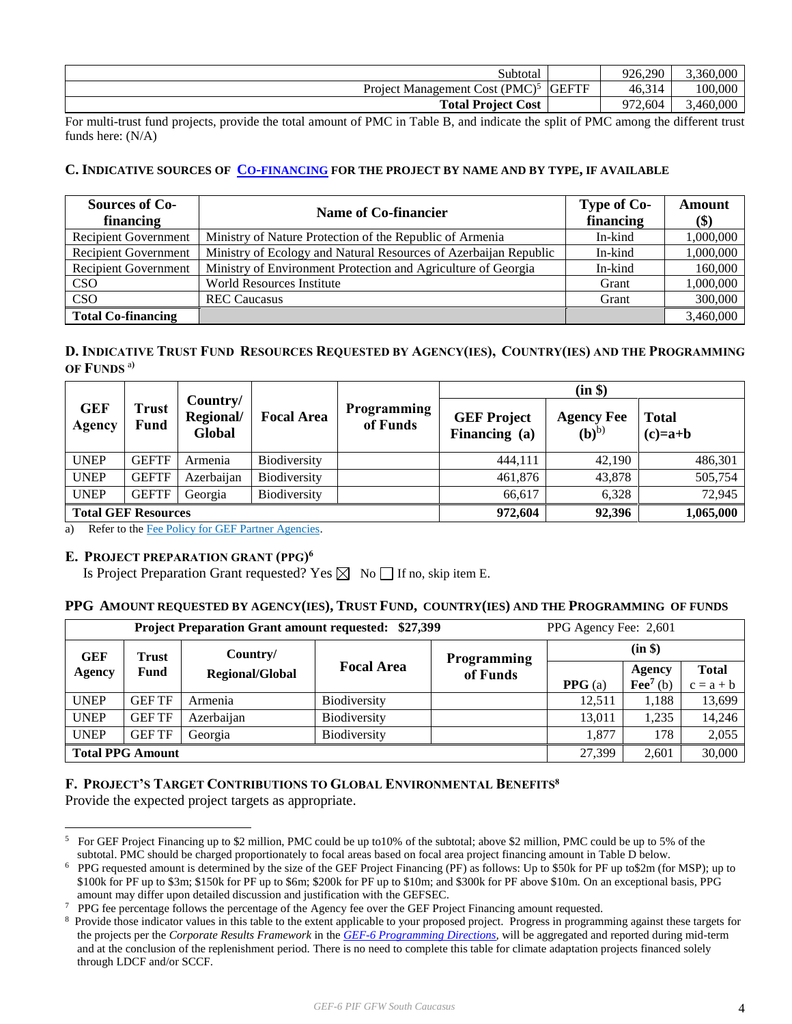| Subtotal                                                   | 926.290 | 5,360,000 |
|------------------------------------------------------------|---------|-----------|
| Project Management Cost (PMC) <sup>5</sup><br><b>GEFTF</b> | 46,314  | 100,000   |
| <b>Total Project Cost</b>                                  | 2,604   | 3,460,000 |

For multi-trust fund projects, provide the total amount of PMC in Table B, and indicate the split of PMC among the different trust funds here: (N/A)

#### **C. INDICATIVE SOURCES OF CO-[FINANCING](http://www.thegef.org/gef/policy/co-financing) FOR THE PROJECT BY NAME AND BY TYPE, IF AVAILABLE**

| <b>Sources of Co-</b><br>financing | Name of Co-financier                                             | Type of Co-<br>financing | Amount<br>\$) |
|------------------------------------|------------------------------------------------------------------|--------------------------|---------------|
| <b>Recipient Government</b>        | Ministry of Nature Protection of the Republic of Armenia         | In-kind                  | 1,000,000     |
| <b>Recipient Government</b>        | Ministry of Ecology and Natural Resources of Azerbaijan Republic | In-kind                  | 1,000,000     |
| <b>Recipient Government</b>        | Ministry of Environment Protection and Agriculture of Georgia    | In-kind                  | 160,000       |
| CSO                                | <b>World Resources Institute</b>                                 | Grant                    | 1,000,000     |
| CSO                                | <b>REC</b> Caucasus                                              | Grant                    | 300,000       |
| <b>Total Co-financing</b>          |                                                                  |                          | 3,460,000     |

# D. INDICATIVE TRUST FUND RESOURCES REQUESTED BY AGENCY(IES), COUNTRY(IES) AND THE PROGRAMMING **OF FUNDS** a**)**

|                            |               |                                 |                     |                                |                                     | (in \$)                               |                           |
|----------------------------|---------------|---------------------------------|---------------------|--------------------------------|-------------------------------------|---------------------------------------|---------------------------|
| <b>GEF</b><br>Agency       | Trust<br>Fund | Country/<br>Regional/<br>Global | <b>Focal Area</b>   | <b>Programming</b><br>of Funds | <b>GEF Project</b><br>Financing (a) | <b>Agency Fee</b><br>(b) <sup>b</sup> | <b>Total</b><br>$(c)=a+b$ |
| <b>UNEP</b>                | <b>GEFTF</b>  | Armenia                         | Biodiversity        |                                | 444,111                             | 42,190                                | 486,301                   |
| <b>UNEP</b>                | <b>GEFTF</b>  | Azerbaijan                      | <b>Biodiversity</b> |                                | 461,876                             | 43,878                                | 505,754                   |
| <b>UNEP</b>                | <b>GEFTF</b>  | Georgia                         | <b>Biodiversity</b> |                                | 66.617                              | 6,328                                 | 72,945                    |
| <b>Total GEF Resources</b> |               |                                 |                     |                                | 972,604                             | 92,396                                | 1,065,000                 |

a) Refer to th[e Fee Policy for GEF Partner Agencies.](http://www.thegef.org/gef/sites/thegef.org/files/documents/document/gef-fee-policy.pdf)

#### **E. PROJECT PREPARATION GRANT (PPG) 6**

Is Project Preparation Grant requested? Yes  $\boxtimes$  No  $\Box$  If no, skip item E.

#### **PPG AMOUNT REQUESTED BY AGENCY(IES), TRUST FUND, COUNTRY(IES) AND THE PROGRAMMING OF FUNDS**

| <b>Project Preparation Grant amount requested: \$27,399</b><br>PPG Agency Fee: 2,601 |                                  |                        |                     |          |                  |                   |              |
|--------------------------------------------------------------------------------------|----------------------------------|------------------------|---------------------|----------|------------------|-------------------|--------------|
| <b>GEF</b>                                                                           | Country/<br>Trust<br>Programming |                        |                     | (in \$)  |                  |                   |              |
| Agency                                                                               | Fund                             | <b>Regional/Global</b> | <b>Focal Area</b>   | of Funds |                  | Agency            | <b>Total</b> |
|                                                                                      |                                  |                        |                     |          | <b>PPG</b> $(a)$ | $\text{Fe}^7$ (b) | $c = a + b$  |
| <b>UNEP</b>                                                                          | <b>GEF TF</b>                    | Armenia                | <b>Biodiversity</b> |          | 12.511           | 1,188             | 13,699       |
| <b>UNEP</b>                                                                          | <b>GEF TF</b>                    | Azerbaijan             | <b>Biodiversity</b> |          | 13.011           | 1,235             | 14,246       |
| <b>UNEP</b>                                                                          | <b>GEFTF</b>                     | Georgia                | <b>Biodiversity</b> |          | 1,877            | 178               | 2,055        |
| <b>Total PPG Amount</b>                                                              |                                  |                        |                     |          |                  | 2.601             | 30,000       |

#### **F. PROJECT'S TARGET CONTRIBUTIONS TO GLOBAL ENVIRONMENTAL BENEFITS<sup>8</sup>**

Provide the expected project targets as appropriate.

<sup>5</sup> For GEF Project Financing up to \$2 million, PMC could be up to10% of the subtotal; above \$2 million, PMC could be up to 5% of the subtotal. PMC should be charged proportionately to focal areas based on focal area project financing amount in Table D below.

<sup>6</sup> PPG requested amount is determined by the size of the GEF Project Financing (PF) as follows: Up to \$50k for PF up to\$2m (for MSP); up to \$100k for PF up to \$3m; \$150k for PF up to \$6m; \$200k for PF up to \$10m; and \$300k for PF above \$10m. On an exceptional basis, PPG amount may differ upon detailed discussion and justification with the GEFSEC.

<sup>&</sup>lt;sup>7</sup> PPG fee percentage follows the percentage of the Agency fee over the GEF Project Financing amount requested.

<sup>8</sup> Provide those indicator values in this table to the extent applicable to your proposed project. Progress in programming against these targets for the projects per the *Corporate Results Framework* in the *[GEF-6 Programming Directions,](http://www.thegef.org/gef/sites/thegef.org/files/documents/GEF.C.46.07.Rev_.01_Summary_of_the_Negotiations_of_the_Sixth_Replenishment_of_the_GEF_Trust_Fund_May_22_2014.pdf)* will be aggregated and reported during mid-term and at the conclusion of the replenishment period. There is no need to complete this table for climate adaptation projects financed solely through LDCF and/or SCCF.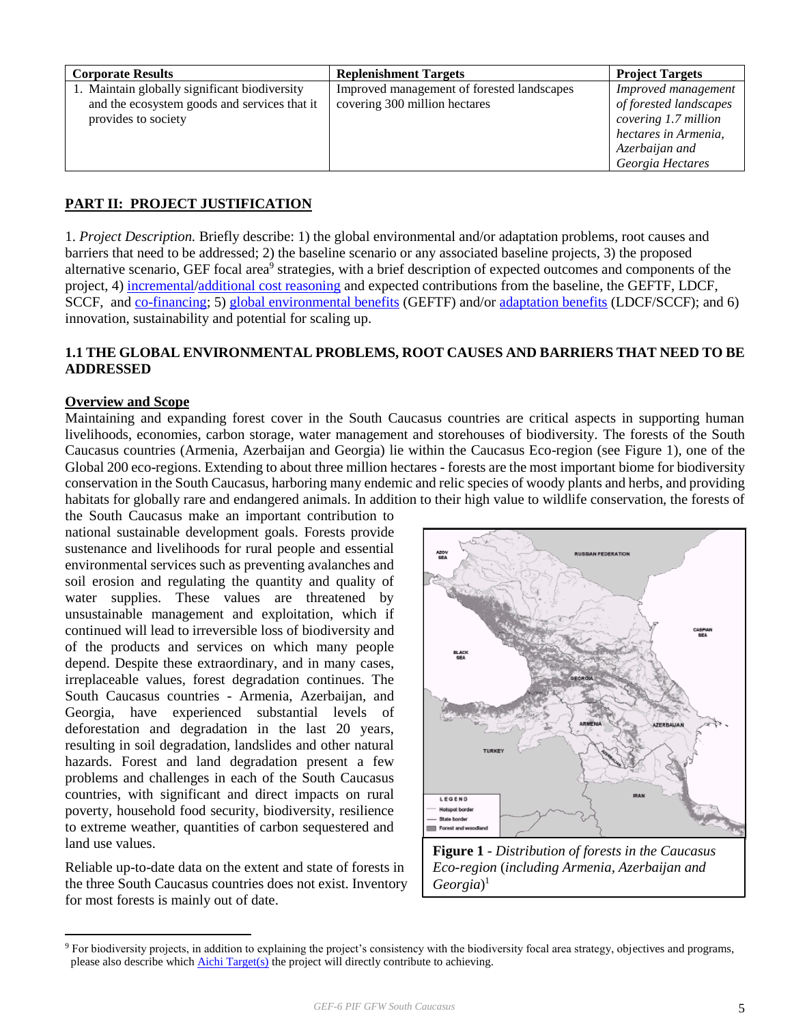| <b>Corporate Results</b>                                                                                             | <b>Replenishment Targets</b>                                                | <b>Project Targets</b>                                                                                                              |
|----------------------------------------------------------------------------------------------------------------------|-----------------------------------------------------------------------------|-------------------------------------------------------------------------------------------------------------------------------------|
| 1. Maintain globally significant biodiversity<br>and the ecosystem goods and services that it<br>provides to society | Improved management of forested landscapes<br>covering 300 million hectares | Improved management<br>of forested landscapes<br>covering 1.7 million<br>hectares in Armenia,<br>Azerbaijan and<br>Georgia Hectares |

# **PART II: PROJECT JUSTIFICATION**

1. *Project Description.* Briefly describe: 1) the global environmental and/or adaptation problems, root causes and barriers that need to be addressed; 2) the baseline scenario or any associated baseline projects, 3) the proposed alternative scenario, GEF focal area<sup>9</sup> strategies, with a brief description of expected outcomes and components of the project, 4) [incremental/](http://www.thegef.org/gef/policy/incremental_costs)[additional cost reasoning](http://www.thegef.org/gef/node/1325) and expected contributions from the baseline, the GEFTF, LDCF, SCCF, and [co-financing;](http://www.thegef.org/gef/policy/co-financing) 5) [global environmental benefits](http://www.thegef.org/gef/GEB) (GEFTF) and/or [adaptation benefits](http://www.thegef.org/gef/sites/thegef.org/files/documents/GEF.R.5.12.Rev_.1.pdf) (LDCF/SCCF); and 6) innovation, sustainability and potential for scaling up.

# **1.1 THE GLOBAL ENVIRONMENTAL PROBLEMS, ROOT CAUSES AND BARRIERS THAT NEED TO BE ADDRESSED**

#### **Overview and Scope**

 $\overline{a}$ 

Maintaining and expanding forest cover in the South Caucasus countries are critical aspects in supporting human livelihoods, economies, carbon storage, water management and storehouses of biodiversity. The forests of the South Caucasus countries (Armenia, Azerbaijan and Georgia) lie within the Caucasus Eco-region (see Figure 1), one of the Global 200 eco-regions. Extending to about three million hectares - forests are the most important biome for biodiversity conservation in the South Caucasus, harboring many endemic and relic species of woody plants and herbs, and providing habitats for globally rare and endangered animals. In addition to their high value to wildlife conservation, the forests of

the South Caucasus make an important contribution to national sustainable development goals. Forests provide sustenance and livelihoods for rural people and essential environmental services such as preventing avalanches and soil erosion and regulating the quantity and quality of water supplies. These values are threatened by unsustainable management and exploitation, which if continued will lead to irreversible loss of biodiversity and of the products and services on which many people depend. Despite these extraordinary, and in many cases, irreplaceable values, forest degradation continues. The South Caucasus countries - Armenia, Azerbaijan, and Georgia, have experienced substantial levels of deforestation and degradation in the last 20 years, resulting in soil degradation, landslides and other natural hazards. Forest and land degradation present a few problems and challenges in each of the South Caucasus countries, with significant and direct impacts on rural poverty, household food security, biodiversity, resilience to extreme weather, quantities of carbon sequestered and land use values.

Reliable up-to-date data on the extent and state of forests in the three South Caucasus countries does not exist. Inventory for most forests is mainly out of date.



**Figure 1** - *Distribution of forests in the Caucasus Eco-region* (*including Armenia, Azerbaijan and Georgia*) 1

<sup>9</sup> For biodiversity projects, in addition to explaining the project's consistency with the biodiversity focal area strategy, objectives and programs, please also describe whic[h Aichi Target\(s\)](http://www.thegef.org/gef/content/did-you-know-%E2%80%A6-convention-biological-diversity-has-agreed-20-targets-aka-aichi-targets-achie) the project will directly contribute to achieving.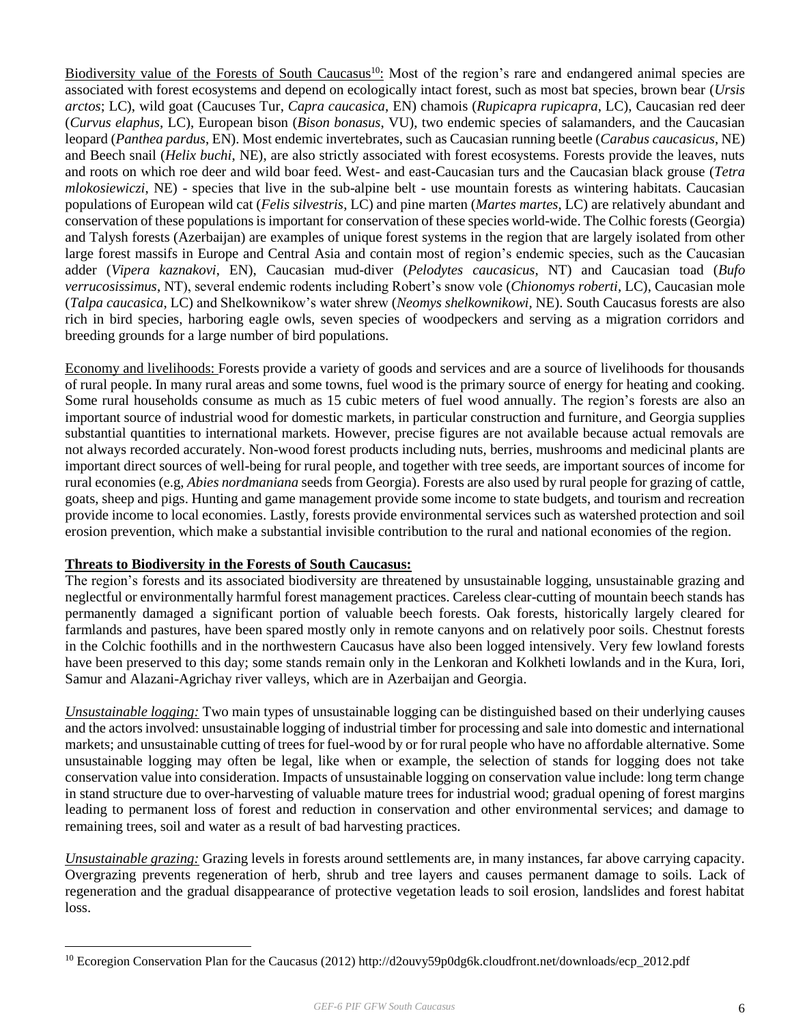Biodiversity value of the Forests of South Caucasus<sup>10</sup>: Most of the region's rare and endangered animal species are associated with forest ecosystems and depend on ecologically intact forest, such as most bat species, brown bear (*Ursis arctos*; LC), wild goat (Caucuses Tur, *Capra caucasica*, EN) chamois (*Rupicapra rupicapra*, LC), Caucasian red deer (*Curvus elaphus*, LC), European bison (*Bison bonasus*, VU), two endemic species of salamanders, and the Caucasian leopard (*Panthea pardus*, EN). Most endemic invertebrates, such as Caucasian running beetle (*Carabus caucasicus*, NE) and Beech snail (*Helix buchi*, NE), are also strictly associated with forest ecosystems. Forests provide the leaves, nuts and roots on which roe deer and wild boar feed. West- and east-Caucasian turs and the Caucasian black grouse (*Tetra mlokosiewiczi*, NE) - species that live in the sub-alpine belt - use mountain forests as wintering habitats. Caucasian populations of European wild cat (*Felis silvestris*, LC) and pine marten (*Martes martes*, LC) are relatively abundant and conservation of these populations is important for conservation of these species world-wide. The Colhic forests (Georgia) and Talysh forests (Azerbaijan) are examples of unique forest systems in the region that are largely isolated from other large forest massifs in Europe and Central Asia and contain most of region's endemic species, such as the Caucasian adder (*Vipera kaznakovi*, EN), Caucasian mud-diver (*Pelodytes caucasicus*, NT) and Caucasian toad (*Bufo verrucosissimus*, NT), several endemic rodents including Robert's snow vole (*Chionomys roberti*, LC), Caucasian mole (*Talpa caucasica*, LC) and Shelkownikow's water shrew (*Neomys shelkownikowi,* NE). South Caucasus forests are also rich in bird species, harboring eagle owls, seven species of woodpeckers and serving as a migration corridors and breeding grounds for a large number of bird populations.

Economy and livelihoods: Forests provide a variety of goods and services and are a source of livelihoods for thousands of rural people. In many rural areas and some towns, fuel wood is the primary source of energy for heating and cooking. Some rural households consume as much as 15 cubic meters of fuel wood annually. The region's forests are also an important source of industrial wood for domestic markets, in particular construction and furniture, and Georgia supplies substantial quantities to international markets. However, precise figures are not available because actual removals are not always recorded accurately. Non-wood forest products including nuts, berries, mushrooms and medicinal plants are important direct sources of well-being for rural people, and together with tree seeds, are important sources of income for rural economies (e.g, *Abies nordmaniana* seeds from Georgia). Forests are also used by rural people for grazing of cattle, goats, sheep and pigs. Hunting and game management provide some income to state budgets, and tourism and recreation provide income to local economies. Lastly, forests provide environmental services such as watershed protection and soil erosion prevention, which make a substantial invisible contribution to the rural and national economies of the region.

#### **Threats to Biodiversity in the Forests of South Caucasus:**

 $\overline{a}$ 

The region's forests and its associated biodiversity are threatened by unsustainable logging, unsustainable grazing and neglectful or environmentally harmful forest management practices. Careless clear-cutting of mountain beech stands has permanently damaged a significant portion of valuable beech forests. Oak forests, historically largely cleared for farmlands and pastures, have been spared mostly only in remote canyons and on relatively poor soils. Chestnut forests in the Colchic foothills and in the northwestern Caucasus have also been logged intensively. Very few lowland forests have been preserved to this day; some stands remain only in the Lenkoran and Kolkheti lowlands and in the Kura, Iori, Samur and Alazani-Agrichay river valleys, which are in Azerbaijan and Georgia.

*Unsustainable logging:* Two main types of unsustainable logging can be distinguished based on their underlying causes and the actors involved: unsustainable logging of industrial timber for processing and sale into domestic and international markets; and unsustainable cutting of trees for fuel-wood by or for rural people who have no affordable alternative. Some unsustainable logging may often be legal, like when or example, the selection of stands for logging does not take conservation value into consideration. Impacts of unsustainable logging on conservation value include: long term change in stand structure due to over-harvesting of valuable mature trees for industrial wood; gradual opening of forest margins leading to permanent loss of forest and reduction in conservation and other environmental services; and damage to remaining trees, soil and water as a result of bad harvesting practices.

*Unsustainable grazing:* Grazing levels in forests around settlements are, in many instances, far above carrying capacity. Overgrazing prevents regeneration of herb, shrub and tree layers and causes permanent damage to soils. Lack of regeneration and the gradual disappearance of protective vegetation leads to soil erosion, landslides and forest habitat loss.

<sup>&</sup>lt;sup>10</sup> Ecoregion Conservation Plan for the Caucasus (2012) http://d2ouvy59p0dg6k.cloudfront.net/downloads/ecp\_2012.pdf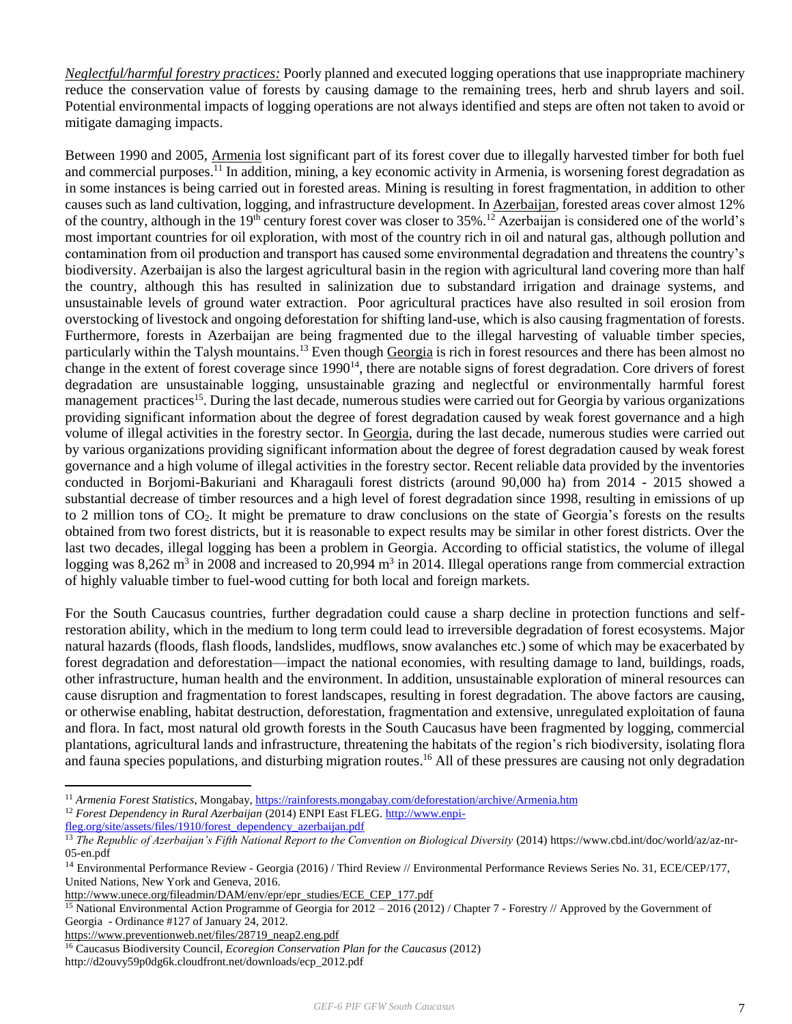*Neglectful/harmful forestry practices:* Poorly planned and executed logging operations that use inappropriate machinery reduce the conservation value of forests by causing damage to the remaining trees, herb and shrub layers and soil. Potential environmental impacts of logging operations are not always identified and steps are often not taken to avoid or mitigate damaging impacts.

Between 1990 and 2005, Armenia lost significant part of its forest cover due to illegally harvested timber for both fuel and commercial purposes.<sup>11</sup> In addition, mining, a key economic activity in Armenia, is worsening forest degradation as in some instances is being carried out in forested areas. Mining is resulting in forest fragmentation, in addition to other causes such as land cultivation, logging, and infrastructure development. In Azerbaijan, forested areas cover almost 12% of the country, although in the 19<sup>th</sup> century forest cover was closer to 35%.<sup>12</sup> Azerbaijan is considered one of the world's most important countries for oil exploration, with most of the country rich in oil and natural gas, although pollution and contamination from oil production and transport has caused some environmental degradation and threatens the country's biodiversity. Azerbaijan is also the largest agricultural basin in the region with agricultural land covering more than half the country, although this has resulted in salinization due to substandard irrigation and drainage systems, and unsustainable levels of ground water extraction. Poor agricultural practices have also resulted in soil erosion from overstocking of livestock and ongoing deforestation for shifting land-use, which is also causing fragmentation of forests. Furthermore, forests in Azerbaijan are being fragmented due to the illegal harvesting of valuable timber species, particularly within the Talysh mountains.<sup>13</sup> Even though Georgia is rich in forest resources and there has been almost no change in the extent of forest coverage since 1990<sup>14</sup>, there are notable signs of forest degradation. Core drivers of forest degradation are unsustainable logging, unsustainable grazing and neglectful or environmentally harmful forest management practices<sup>15</sup>. During the last decade, numerous studies were carried out for Georgia by various organizations providing significant information about the degree of forest degradation caused by weak forest governance and a high volume of illegal activities in the forestry sector. In Georgia, during the last decade, numerous studies were carried out by various organizations providing significant information about the degree of forest degradation caused by weak forest governance and a high volume of illegal activities in the forestry sector. Recent reliable data provided by the inventories conducted in Borjomi-Bakuriani and Kharagauli forest districts (around 90,000 ha) from 2014 - 2015 showed a substantial decrease of timber resources and a high level of forest degradation since 1998, resulting in emissions of up to 2 million tons of  $CO<sub>2</sub>$ . It might be premature to draw conclusions on the state of Georgia's forests on the results obtained from two forest districts, but it is reasonable to expect results may be similar in other forest districts. Over the last two decades, illegal logging has been a problem in Georgia. According to official statistics, the volume of illegal logging was  $8,262 \text{ m}^3$  in 2008 and increased to 20,994 m<sup>3</sup> in 2014. Illegal operations range from commercial extraction of highly valuable timber to fuel-wood cutting for both local and foreign markets.

For the South Caucasus countries, further degradation could cause a sharp decline in protection functions and selfrestoration ability, which in the medium to long term could lead to irreversible degradation of forest ecosystems. Major natural hazards (floods, flash floods, landslides, mudflows, snow avalanches etc.) some of which may be exacerbated by forest degradation and deforestation—impact the national economies, with resulting damage to land, buildings, roads, other infrastructure, human health and the environment. In addition, unsustainable exploration of mineral resources can cause disruption and fragmentation to forest landscapes, resulting in forest degradation. The above factors are causing, or otherwise enabling, habitat destruction, deforestation, fragmentation and extensive, unregulated exploitation of fauna and flora. In fact, most natural old growth forests in the South Caucasus have been fragmented by logging, commercial plantations, agricultural lands and infrastructure, threatening the habitats of the region's rich biodiversity, isolating flora and fauna species populations, and disturbing migration routes. <sup>16</sup> All of these pressures are causing not only degradation

<sup>11</sup> *Armenia Forest Statistics*, Mongabay[, https://rainforests.mongabay.com/deforestation/archive/Armenia.htm](https://rainforests.mongabay.com/deforestation/archive/Armenia.htm)

<sup>12</sup> *Forest Dependency in Rural Azerbaijan* (2014) ENPI East FLEG. [http://www.enpi-](http://www.enpi-fleg.org/site/assets/files/1910/forest_dependency_azerbaijan.pdf)

[fleg.org/site/assets/files/1910/forest\\_dependency\\_azerbaijan.pdf](http://www.enpi-fleg.org/site/assets/files/1910/forest_dependency_azerbaijan.pdf)

<sup>&</sup>lt;sup>13</sup> The Republic of Azerbaijan's Fifth National Report to the Convention on Biological Diversity (2014) https://www.cbd.int/doc/world/az/az-nr-05-en.pdf

<sup>14</sup> Environmental Performance Review - Georgia (2016) / Third Review // Environmental Performance Reviews Series No. 31, ECE/CEP/177, United Nations, New York and Geneva, 2016.

[http://www.unece.org/fileadmin/DAM/env/epr/epr\\_studies/ECE\\_CEP\\_177.pdf](http://www.unece.org/fileadmin/DAM/env/epr/epr_studies/ECE_CEP_177.pdf)

<sup>&</sup>lt;sup>15</sup> National Environmental Action Programme of Georgia for 2012 – 2016 (2012) / Chapter 7 - Forestry // Approved by the Government of Georgia - Ordinance #127 of January 24, 2012.

[https://www.preventionweb.net/files/28719\\_neap2.eng.pdf](https://www.preventionweb.net/files/28719_neap2.eng.pdf)

<sup>16</sup> Caucasus Biodiversity Council, *Ecoregion Conservation Plan for the Caucasus* (2012) http://d2ouvy59p0dg6k.cloudfront.net/downloads/ecp\_2012.pdf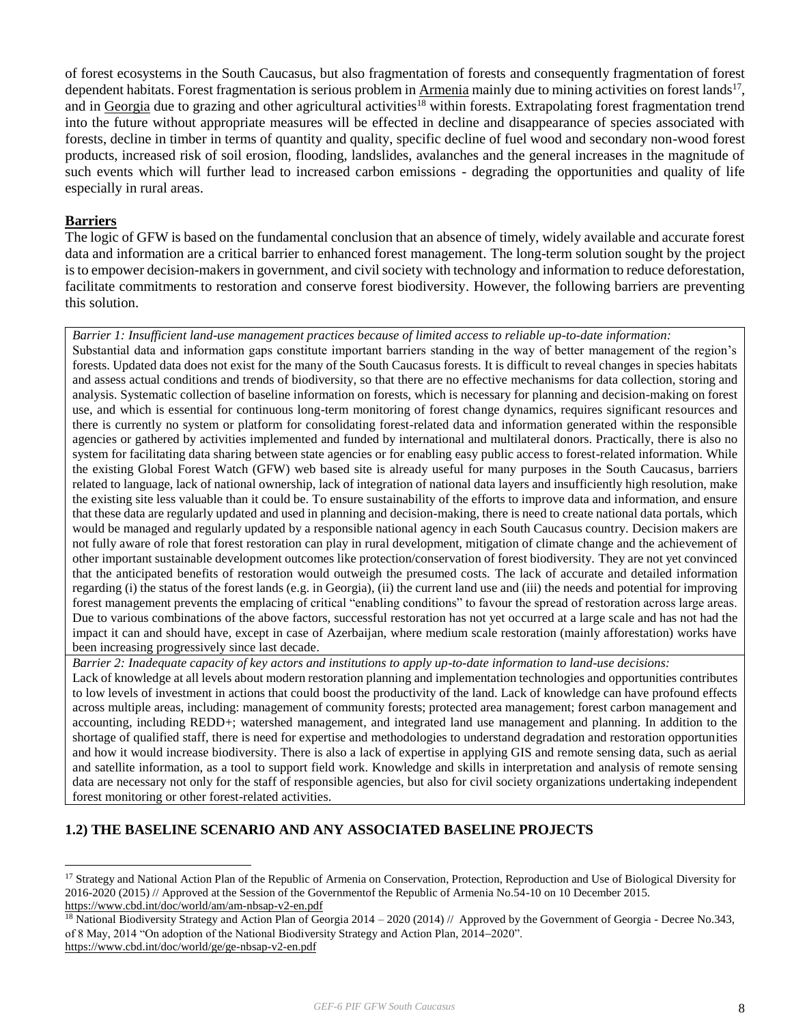of forest ecosystems in the South Caucasus, but also fragmentation of forests and consequently fragmentation of forest dependent habitats. Forest fragmentation is serious problem in Armenia mainly due to mining activities on forest lands<sup>17</sup>, and in Georgia due to grazing and other agricultural activities<sup>18</sup> within forests. Extrapolating forest fragmentation trend into the future without appropriate measures will be effected in decline and disappearance of species associated with forests, decline in timber in terms of quantity and quality, specific decline of fuel wood and secondary non-wood forest products, increased risk of soil erosion, flooding, landslides, avalanches and the general increases in the magnitude of such events which will further lead to increased carbon emissions - degrading the opportunities and quality of life especially in rural areas.

#### **Barriers**

 $\overline{a}$ 

The logic of GFW is based on the fundamental conclusion that an absence of timely, widely available and accurate forest data and information are a critical barrier to enhanced forest management. The long-term solution sought by the project is to empower decision-makers in government, and civil society with technology and information to reduce deforestation, facilitate commitments to restoration and conserve forest biodiversity. However, the following barriers are preventing this solution.

*Barrier 1: Insufficient land-use management practices because of limited access to reliable up-to-date information:* 

Substantial data and information gaps constitute important barriers standing in the way of better management of the region's forests. Updated data does not exist for the many of the South Caucasus forests. It is difficult to reveal changes in species habitats and assess actual conditions and trends of biodiversity, so that there are no effective mechanisms for data collection, storing and analysis. Systematic collection of baseline information on forests, which is necessary for planning and decision-making on forest use, and which is essential for continuous long-term monitoring of forest change dynamics, requires significant resources and there is currently no system or platform for consolidating forest-related data and information generated within the responsible agencies or gathered by activities implemented and funded by international and multilateral donors. Practically, there is also no system for facilitating data sharing between state agencies or for enabling easy public access to forest-related information. While the existing Global Forest Watch (GFW) web based site is already useful for many purposes in the South Caucasus, barriers related to language, lack of national ownership, lack of integration of national data layers and insufficiently high resolution, make the existing site less valuable than it could be. To ensure sustainability of the efforts to improve data and information, and ensure that these data are regularly updated and used in planning and decision-making, there is need to create national data portals, which would be managed and regularly updated by a responsible national agency in each South Caucasus country. Decision makers are not fully aware of role that forest restoration can play in rural development, mitigation of climate change and the achievement of other important sustainable development outcomes like protection/conservation of forest biodiversity. They are not yet convinced that the anticipated benefits of restoration would outweigh the presumed costs. The lack of accurate and detailed information regarding (i) the status of the forest lands (e.g. in Georgia), (ii) the current land use and (iii) the needs and potential for improving forest management prevents the emplacing of critical "enabling conditions" to favour the spread of restoration across large areas. Due to various combinations of the above factors, successful restoration has not yet occurred at a large scale and has not had the impact it can and should have, except in case of Azerbaijan, where medium scale restoration (mainly afforestation) works have been increasing progressively since last decade.

*Barrier 2: Inadequate capacity of key actors and institutions to apply up-to-date information to land-use decisions:*

Lack of knowledge at all levels about modern restoration planning and implementation technologies and opportunities contributes to low levels of investment in actions that could boost the productivity of the land. Lack of knowledge can have profound effects across multiple areas, including: management of community forests; protected area management; forest carbon management and accounting, including REDD+; watershed management, and integrated land use management and planning. In addition to the shortage of qualified staff, there is need for expertise and methodologies to understand degradation and restoration opportunities and how it would increase biodiversity. There is also a lack of expertise in applying GIS and remote sensing data, such as aerial and satellite information, as a tool to support field work. Knowledge and skills in interpretation and analysis of remote sensing data are necessary not only for the staff of responsible agencies, but also for civil society organizations undertaking independent forest monitoring or other forest-related activities.

#### **1.2) THE BASELINE SCENARIO AND ANY ASSOCIATED BASELINE PROJECTS**

<sup>&</sup>lt;sup>17</sup> Strategy and National Action Plan of the Republic of Armenia on Conservation, Protection, Reproduction and Use of Biological Diversity for 2016-2020 (2015) // Approved at the Session of the Governmentof the Republic of Armenia No.54-10 on 10 December 2015. <https://www.cbd.int/doc/world/am/am-nbsap-v2-en.pdf>

<sup>&</sup>lt;sup>18</sup> National Biodiversity Strategy and Action Plan of Georgia 2014 – 2020 (2014) // Approved by the Government of Georgia - Decree No.343, of 8 May, 2014 "On adoption of the National Biodiversity Strategy and Action Plan, 2014–2020". <https://www.cbd.int/doc/world/ge/ge-nbsap-v2-en.pdf>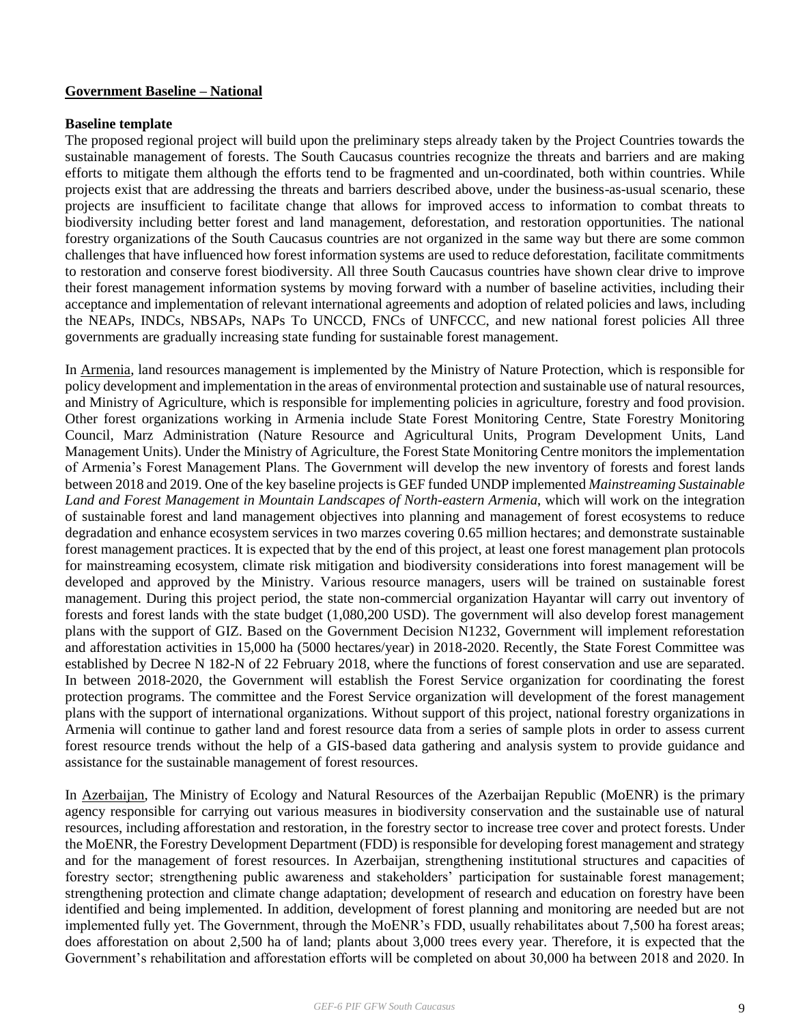#### **Government Baseline – National**

#### **Baseline template**

The proposed regional project will build upon the preliminary steps already taken by the Project Countries towards the sustainable management of forests. The South Caucasus countries recognize the threats and barriers and are making efforts to mitigate them although the efforts tend to be fragmented and un-coordinated, both within countries. While projects exist that are addressing the threats and barriers described above, under the business-as-usual scenario, these projects are insufficient to facilitate change that allows for improved access to information to combat threats to biodiversity including better forest and land management, deforestation, and restoration opportunities. The national forestry organizations of the South Caucasus countries are not organized in the same way but there are some common challenges that have influenced how forest information systems are used to reduce deforestation, facilitate commitments to restoration and conserve forest biodiversity. All three South Caucasus countries have shown clear drive to improve their forest management information systems by moving forward with a number of baseline activities, including their acceptance and implementation of relevant international agreements and adoption of related policies and laws, including the NEAPs, INDCs, NBSAPs, NAPs To UNCCD, FNCs of UNFCCC, and new national forest policies All three governments are gradually increasing state funding for sustainable forest management.

In Armenia, land resources management is implemented by the Ministry of Nature Protection, which is responsible for policy development and implementation in the areas of environmental protection and sustainable use of natural resources, and Ministry of Agriculture, which is responsible for implementing policies in agriculture, forestry and food provision. Other forest organizations working in Armenia include State Forest Monitoring Centre, State Forestry Monitoring Council, Marz Administration (Nature Resource and Agricultural Units, Program Development Units, Land Management Units). Under the Ministry of Agriculture, the Forest State Monitoring Centre monitors the implementation of Armenia's Forest Management Plans. The Government will develop the new inventory of forests and forest lands between 2018 and 2019. One of the key baseline projects is GEF funded UNDP implemented *Mainstreaming Sustainable Land and Forest Management in Mountain Landscapes of North-eastern Armenia*, which will work on the integration of sustainable forest and land management objectives into planning and management of forest ecosystems to reduce degradation and enhance ecosystem services in two marzes covering 0.65 million hectares; and demonstrate sustainable forest management practices. It is expected that by the end of this project, at least one forest management plan protocols for mainstreaming ecosystem, climate risk mitigation and biodiversity considerations into forest management will be developed and approved by the Ministry. Various resource managers, users will be trained on sustainable forest management. During this project period, the state non-commercial organization Hayantar will carry out inventory of forests and forest lands with the state budget (1,080,200 USD). The government will also develop forest management plans with the support of GIZ. Based on the Government Decision N1232, Government will implement reforestation and afforestation activities in 15,000 ha (5000 hectares/year) in 2018-2020. Recently, the State Forest Committee was established by Decree N 182-N of 22 February 2018, where the functions of forest conservation and use are separated. In between 2018-2020, the Government will establish the Forest Service organization for coordinating the forest protection programs. The committee and the Forest Service organization will development of the forest management plans with the support of international organizations. Without support of this project, national forestry organizations in Armenia will continue to gather land and forest resource data from a series of sample plots in order to assess current forest resource trends without the help of a GIS-based data gathering and analysis system to provide guidance and assistance for the sustainable management of forest resources.

In Azerbaijan, The Ministry of Ecology and Natural Resources of the Azerbaijan Republic (MoENR) is the primary agency responsible for carrying out various measures in biodiversity conservation and the sustainable use of natural resources, including afforestation and restoration, in the forestry sector to increase tree cover and protect forests. Under the MoENR, the Forestry Development Department (FDD) is responsible for developing forest management and strategy and for the management of forest resources. In Azerbaijan, strengthening institutional structures and capacities of forestry sector; strengthening public awareness and stakeholders' participation for sustainable forest management; strengthening protection and climate change adaptation; development of research and education on forestry have been identified and being implemented. In addition, development of forest planning and monitoring are needed but are not implemented fully yet. The Government, through the MoENR's FDD, usually rehabilitates about 7,500 ha forest areas; does afforestation on about 2,500 ha of land; plants about 3,000 trees every year. Therefore, it is expected that the Government's rehabilitation and afforestation efforts will be completed on about 30,000 ha between 2018 and 2020. In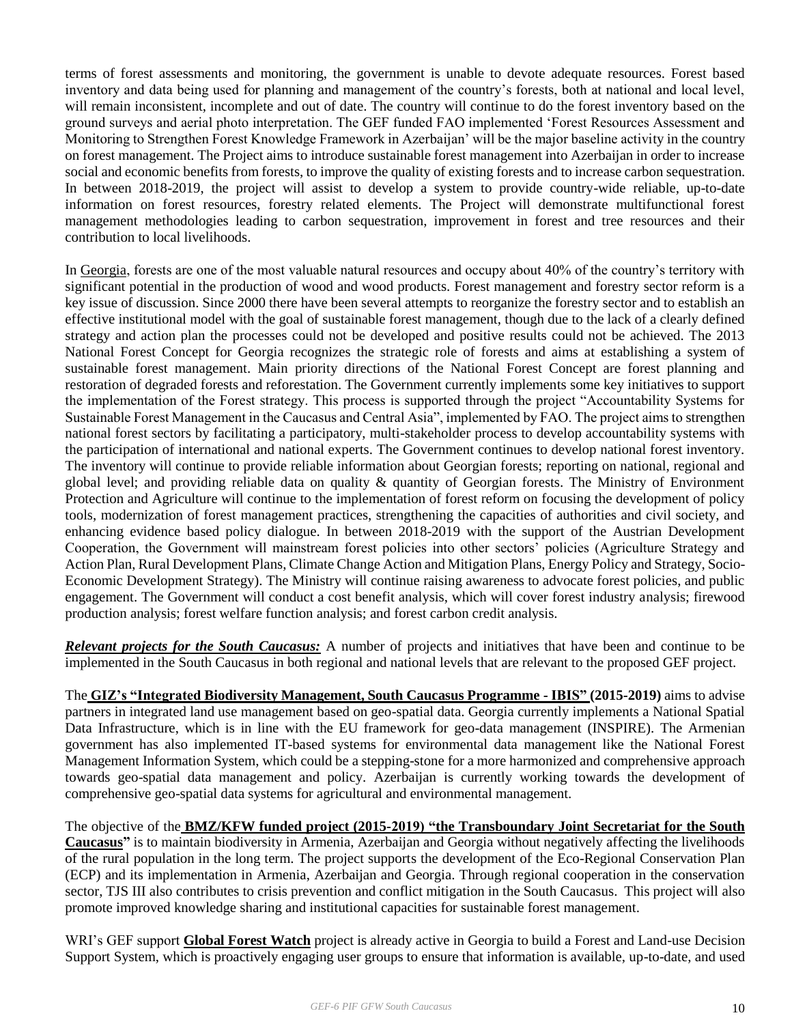terms of forest assessments and monitoring, the government is unable to devote adequate resources. Forest based inventory and data being used for planning and management of the country's forests, both at national and local level, will remain inconsistent, incomplete and out of date. The country will continue to do the forest inventory based on the ground surveys and aerial photo interpretation. The GEF funded FAO implemented 'Forest Resources Assessment and Monitoring to Strengthen Forest Knowledge Framework in Azerbaijan' will be the major baseline activity in the country on forest management. The Project aims to introduce sustainable forest management into Azerbaijan in order to increase social and economic benefits from forests, to improve the quality of existing forests and to increase carbon sequestration. In between 2018-2019, the project will assist to develop a system to provide country-wide reliable, up-to-date information on forest resources, forestry related elements. The Project will demonstrate multifunctional forest management methodologies leading to carbon sequestration, improvement in forest and tree resources and their contribution to local livelihoods.

In Georgia, forests are one of the most valuable natural resources and occupy about 40% of the country's territory with significant potential in the production of wood and wood products. Forest management and forestry sector reform is a key issue of discussion. Since 2000 there have been several attempts to reorganize the forestry sector and to establish an effective institutional model with the goal of sustainable forest management, though due to the lack of a clearly defined strategy and action plan the processes could not be developed and positive results could not be achieved. The 2013 National Forest Concept for Georgia recognizes the strategic role of forests and aims at establishing a system of sustainable forest management. Main priority directions of the National Forest Concept are forest planning and restoration of degraded forests and reforestation. The Government currently implements some key initiatives to support the implementation of the Forest strategy. This process is supported through the project "Accountability Systems for Sustainable Forest Management in the Caucasus and Central Asia", implemented by FAO. The project aims to strengthen national forest sectors by facilitating a participatory, multi-stakeholder process to develop accountability systems with the participation of international and national experts. The Government continues to develop national forest inventory. The inventory will continue to provide reliable information about Georgian forests; reporting on national, regional and global level; and providing reliable data on quality & quantity of Georgian forests. The Ministry of Environment Protection and Agriculture will continue to the implementation of forest reform on focusing the development of policy tools, modernization of forest management practices, strengthening the capacities of authorities and civil society, and enhancing evidence based policy dialogue. In between 2018-2019 with the support of the Austrian Development Cooperation, the Government will mainstream forest policies into other sectors' policies (Agriculture Strategy and Action Plan, Rural Development Plans, Climate Change Action and Mitigation Plans, Energy Policy and Strategy, Socio-Economic Development Strategy). The Ministry will continue raising awareness to advocate forest policies, and public engagement. The Government will conduct a cost benefit analysis, which will cover forest industry analysis; firewood production analysis; forest welfare function analysis; and forest carbon credit analysis.

*Relevant projects for the South Caucasus:* A number of projects and initiatives that have been and continue to be implemented in the South Caucasus in both regional and national levels that are relevant to the proposed GEF project.

The **GIZ's "Integrated Biodiversity Management, South Caucasus Programme - IBIS" (2015-2019)** aims to advise partners in integrated land use management based on geo-spatial data. Georgia currently implements a National Spatial Data Infrastructure, which is in line with the EU framework for geo-data management (INSPIRE). The Armenian government has also implemented IT-based systems for environmental data management like the National Forest Management Information System, which could be a stepping-stone for a more harmonized and comprehensive approach towards geo-spatial data management and policy. Azerbaijan is currently working towards the development of comprehensive geo-spatial data systems for agricultural and environmental management.

The objective of the **BMZ/KFW funded project (2015-2019) "the Transboundary Joint Secretariat for the South Caucasus"** is to maintain biodiversity in Armenia, Azerbaijan and Georgia without negatively affecting the livelihoods of the rural population in the long term. The project supports the development of the Eco-Regional Conservation Plan (ECP) and its implementation in Armenia, Azerbaijan and Georgia. Through regional cooperation in the conservation sector, TJS III also contributes to crisis prevention and conflict mitigation in the South Caucasus. This project will also promote improved knowledge sharing and institutional capacities for sustainable forest management.

WRI's GEF support **Global Forest Watch** project is already active in Georgia to build a Forest and Land-use Decision Support System, which is proactively engaging user groups to ensure that information is available, up-to-date, and used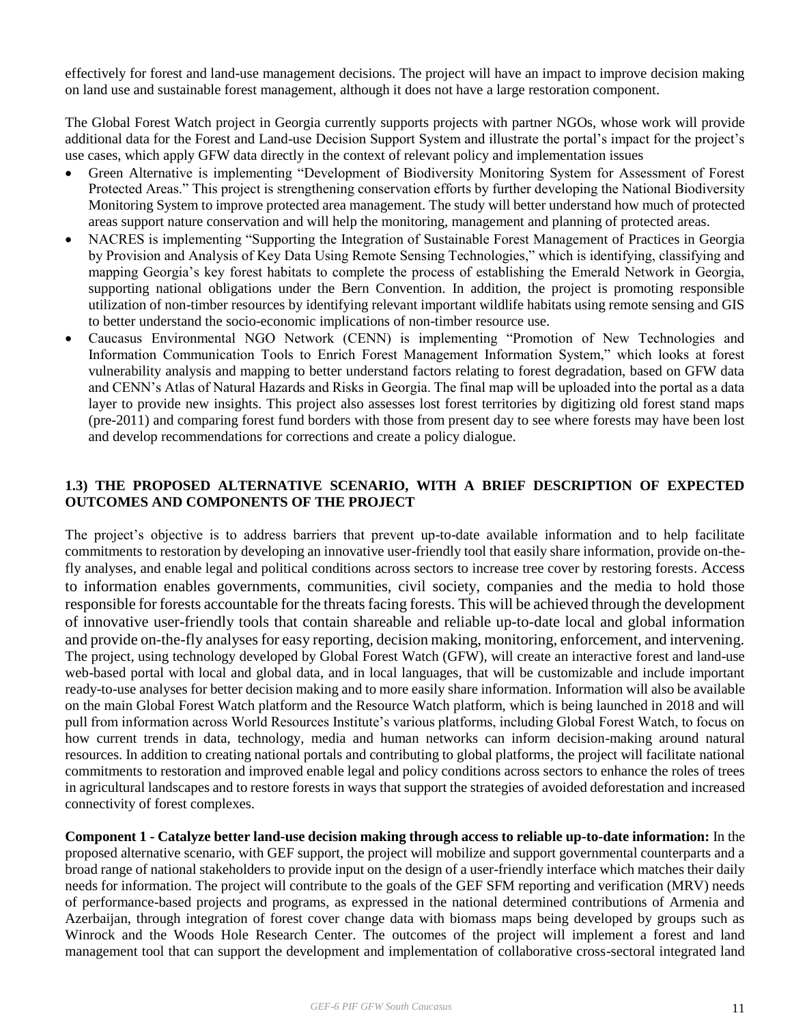effectively for forest and land-use management decisions. The project will have an impact to improve decision making on land use and sustainable forest management, although it does not have a large restoration component.

The Global Forest Watch project in Georgia currently supports projects with partner NGOs, whose work will provide additional data for the Forest and Land-use Decision Support System and illustrate the portal's impact for the project's use cases, which apply GFW data directly in the context of relevant policy and implementation issues

- Green Alternative is implementing "Development of Biodiversity Monitoring System for Assessment of Forest Protected Areas." This project is strengthening conservation efforts by further developing the National Biodiversity Monitoring System to improve protected area management. The study will better understand how much of protected areas support nature conservation and will help the monitoring, management and planning of protected areas.
- NACRES is implementing "Supporting the Integration of Sustainable Forest Management of Practices in Georgia by Provision and Analysis of Key Data Using Remote Sensing Technologies," which is identifying, classifying and mapping Georgia's key forest habitats to complete the process of establishing the Emerald Network in Georgia, supporting national obligations under the Bern Convention. In addition, the project is promoting responsible utilization of non-timber resources by identifying relevant important wildlife habitats using remote sensing and GIS to better understand the socio-economic implications of non-timber resource use.
- Caucasus Environmental NGO Network (CENN) is implementing "Promotion of New Technologies and Information Communication Tools to Enrich Forest Management Information System," which looks at forest vulnerability analysis and mapping to better understand factors relating to forest degradation, based on GFW data and CENN's Atlas of Natural Hazards and Risks in Georgia. The final map will be uploaded into the portal as a data layer to provide new insights. This project also assesses lost forest territories by digitizing old forest stand maps (pre-2011) and comparing forest fund borders with those from present day to see where forests may have been lost and develop recommendations for corrections and create a policy dialogue.

# **1.3) THE PROPOSED ALTERNATIVE SCENARIO, WITH A BRIEF DESCRIPTION OF EXPECTED OUTCOMES AND COMPONENTS OF THE PROJECT**

The project's objective is to address barriers that prevent up-to-date available information and to help facilitate commitments to restoration by developing an innovative user-friendly tool that easily share information, provide on-thefly analyses, and enable legal and political conditions across sectors to increase tree cover by restoring forests. Access to information enables governments, communities, civil society, companies and the media to hold those responsible for forests accountable for the threats facing forests. This will be achieved through the development of innovative user-friendly tools that contain shareable and reliable up-to-date local and global information and provide on-the-fly analyses for easy reporting, decision making, monitoring, enforcement, and intervening. The project, using technology developed by Global Forest Watch (GFW), will create an interactive forest and land-use web-based portal with local and global data, and in local languages, that will be customizable and include important ready-to-use analyses for better decision making and to more easily share information. Information will also be available on the main Global Forest Watch platform and the Resource Watch platform, which is being launched in 2018 and will pull from information across World Resources Institute's various platforms, including Global Forest Watch, to focus on how current trends in data, technology, media and human networks can inform decision-making around natural resources. In addition to creating national portals and contributing to global platforms, the project will facilitate national commitments to restoration and improved enable legal and policy conditions across sectors to enhance the roles of trees in agricultural landscapes and to restore forests in ways that support the strategies of avoided deforestation and increased connectivity of forest complexes.

**Component 1 - Catalyze better land-use decision making through access to reliable up-to-date information:** In the proposed alternative scenario, with GEF support, the project will mobilize and support governmental counterparts and a broad range of national stakeholders to provide input on the design of a user-friendly interface which matches their daily needs for information. The project will contribute to the goals of the GEF SFM reporting and verification (MRV) needs of performance-based projects and programs, as expressed in the national determined contributions of Armenia and Azerbaijan, through integration of forest cover change data with biomass maps being developed by groups such as Winrock and the Woods Hole Research Center. The outcomes of the project will implement a forest and land management tool that can support the development and implementation of collaborative cross-sectoral integrated land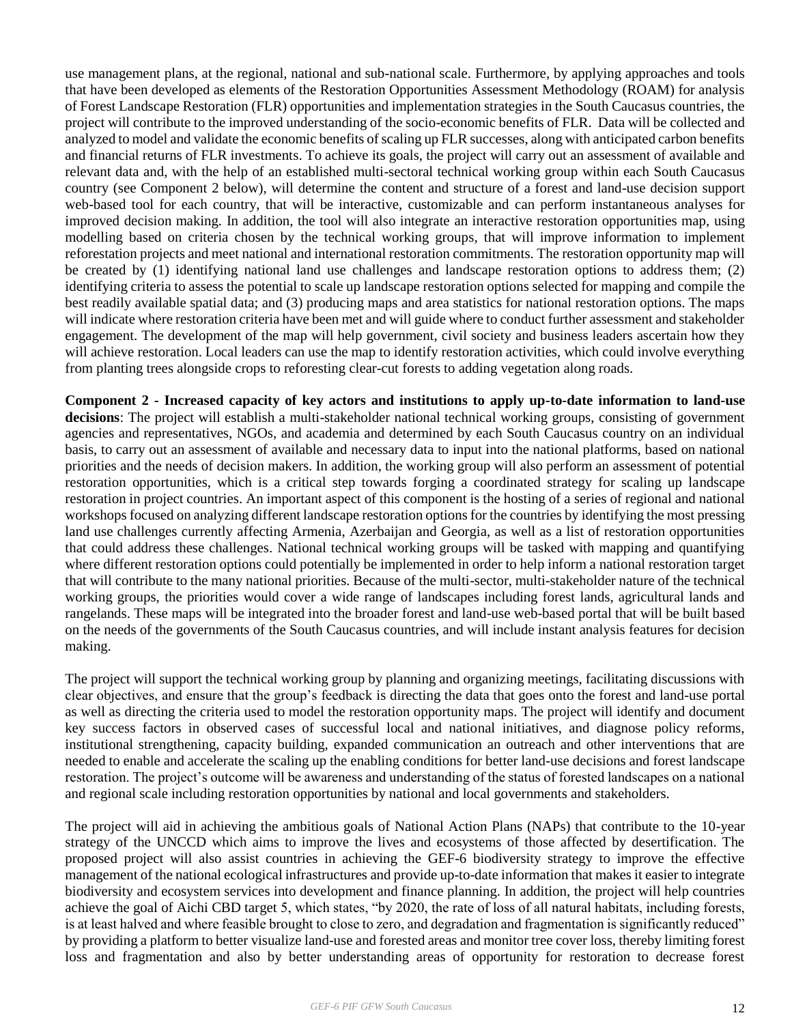use management plans, at the regional, national and sub-national scale. Furthermore, by applying approaches and tools that have been developed as elements of the Restoration Opportunities Assessment Methodology (ROAM) for analysis of Forest Landscape Restoration (FLR) opportunities and implementation strategies in the South Caucasus countries, the project will contribute to the improved understanding of the socio-economic benefits of FLR. Data will be collected and analyzed to model and validate the economic benefits of scaling up FLR successes, along with anticipated carbon benefits and financial returns of FLR investments. To achieve its goals, the project will carry out an assessment of available and relevant data and, with the help of an established multi-sectoral technical working group within each South Caucasus country (see Component 2 below), will determine the content and structure of a forest and land-use decision support web-based tool for each country, that will be interactive, customizable and can perform instantaneous analyses for improved decision making. In addition, the tool will also integrate an interactive restoration opportunities map, using modelling based on criteria chosen by the technical working groups, that will improve information to implement reforestation projects and meet national and international restoration commitments. The restoration opportunity map will be created by (1) identifying national land use challenges and landscape restoration options to address them; (2) identifying criteria to assess the potential to scale up landscape restoration options selected for mapping and compile the best readily available spatial data; and (3) producing maps and area statistics for national restoration options. The maps will indicate where restoration criteria have been met and will guide where to conduct further assessment and stakeholder engagement. The development of the map will help government, civil society and business leaders ascertain how they will achieve restoration. Local leaders can use the map to identify restoration activities, which could involve everything from planting trees alongside crops to reforesting clear-cut forests to adding vegetation along roads.

**Component 2 - Increased capacity of key actors and institutions to apply up-to-date information to land-use decisions**: The project will establish a multi-stakeholder national technical working groups, consisting of government agencies and representatives, NGOs, and academia and determined by each South Caucasus country on an individual basis, to carry out an assessment of available and necessary data to input into the national platforms, based on national priorities and the needs of decision makers. In addition, the working group will also perform an assessment of potential restoration opportunities, which is a critical step towards forging a coordinated strategy for scaling up landscape restoration in project countries. An important aspect of this component is the hosting of a series of regional and national workshops focused on analyzing different landscape restoration options for the countries by identifying the most pressing land use challenges currently affecting Armenia, Azerbaijan and Georgia, as well as a list of restoration opportunities that could address these challenges. National technical working groups will be tasked with mapping and quantifying where different restoration options could potentially be implemented in order to help inform a national restoration target that will contribute to the many national priorities. Because of the multi-sector, multi-stakeholder nature of the technical working groups, the priorities would cover a wide range of landscapes including forest lands, agricultural lands and rangelands. These maps will be integrated into the broader forest and land-use web-based portal that will be built based on the needs of the governments of the South Caucasus countries, and will include instant analysis features for decision making.

The project will support the technical working group by planning and organizing meetings, facilitating discussions with clear objectives, and ensure that the group's feedback is directing the data that goes onto the forest and land-use portal as well as directing the criteria used to model the restoration opportunity maps. The project will identify and document key success factors in observed cases of successful local and national initiatives, and diagnose policy reforms, institutional strengthening, capacity building, expanded communication an outreach and other interventions that are needed to enable and accelerate the scaling up the enabling conditions for better land-use decisions and forest landscape restoration. The project's outcome will be awareness and understanding of the status of forested landscapes on a national and regional scale including restoration opportunities by national and local governments and stakeholders.

The project will aid in achieving the ambitious goals of National Action Plans (NAPs) that contribute to the 10-year strategy of the UNCCD which aims to improve the lives and ecosystems of those affected by desertification. The proposed project will also assist countries in achieving the GEF-6 biodiversity strategy to improve the effective management of the national ecological infrastructures and provide up-to-date information that makes it easier to integrate biodiversity and ecosystem services into development and finance planning. In addition, the project will help countries achieve the goal of Aichi CBD target 5, which states, "by 2020, the rate of loss of all natural habitats, including forests, is at least halved and where feasible brought to close to zero, and degradation and fragmentation is significantly reduced" by providing a platform to better visualize land-use and forested areas and monitor tree cover loss, thereby limiting forest loss and fragmentation and also by better understanding areas of opportunity for restoration to decrease forest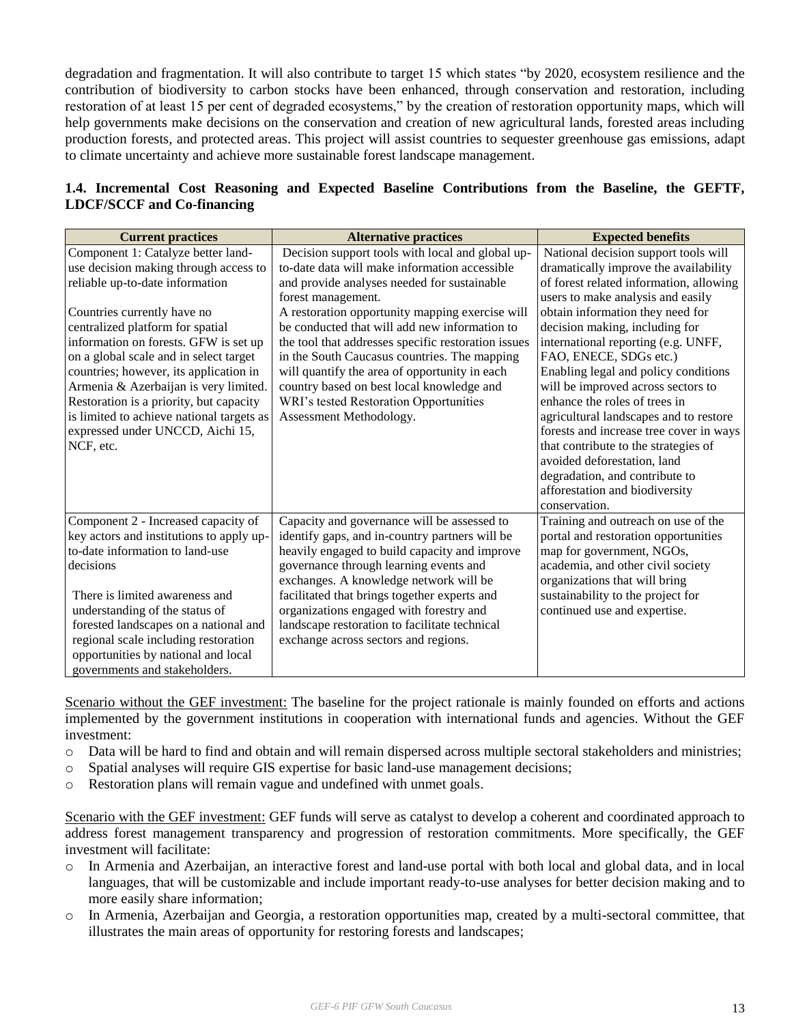degradation and fragmentation. It will also contribute to target 15 which states "by 2020, ecosystem resilience and the contribution of biodiversity to carbon stocks have been enhanced, through conservation and restoration, including restoration of at least 15 per cent of degraded ecosystems," by the creation of restoration opportunity maps, which will help governments make decisions on the conservation and creation of new agricultural lands, forested areas including production forests, and protected areas. This project will assist countries to sequester greenhouse gas emissions, adapt to climate uncertainty and achieve more sustainable forest landscape management.

|                                   |  |  | 1.4. Incremental Cost Reasoning and Expected Baseline Contributions from the Baseline, the GEFTF, |  |  |  |
|-----------------------------------|--|--|---------------------------------------------------------------------------------------------------|--|--|--|
| <b>LDCF/SCCF</b> and Co-financing |  |  |                                                                                                   |  |  |  |

| <b>Current practices</b>                                                                                                                                                                                                                                                                                                                                                                                                                                                                         | <b>Alternative practices</b>                                                                                                                                                                                                                                                                                                                                                                                                                                                                                                                         | <b>Expected benefits</b>                                                                                                                                                                                                                                                                                                                                                                                                                                                                                                                                                                                                                                             |
|--------------------------------------------------------------------------------------------------------------------------------------------------------------------------------------------------------------------------------------------------------------------------------------------------------------------------------------------------------------------------------------------------------------------------------------------------------------------------------------------------|------------------------------------------------------------------------------------------------------------------------------------------------------------------------------------------------------------------------------------------------------------------------------------------------------------------------------------------------------------------------------------------------------------------------------------------------------------------------------------------------------------------------------------------------------|----------------------------------------------------------------------------------------------------------------------------------------------------------------------------------------------------------------------------------------------------------------------------------------------------------------------------------------------------------------------------------------------------------------------------------------------------------------------------------------------------------------------------------------------------------------------------------------------------------------------------------------------------------------------|
| Component 1: Catalyze better land-<br>use decision making through access to<br>reliable up-to-date information<br>Countries currently have no<br>centralized platform for spatial<br>information on forests. GFW is set up<br>on a global scale and in select target<br>countries; however, its application in<br>Armenia & Azerbaijan is very limited.<br>Restoration is a priority, but capacity<br>is limited to achieve national targets as<br>expressed under UNCCD, Aichi 15,<br>NCF, etc. | Decision support tools with local and global up-<br>to-date data will make information accessible<br>and provide analyses needed for sustainable<br>forest management.<br>A restoration opportunity mapping exercise will<br>be conducted that will add new information to<br>the tool that addresses specific restoration issues<br>in the South Caucasus countries. The mapping<br>will quantify the area of opportunity in each<br>country based on best local knowledge and<br>WRI's tested Restoration Opportunities<br>Assessment Methodology. | National decision support tools will<br>dramatically improve the availability<br>of forest related information, allowing<br>users to make analysis and easily<br>obtain information they need for<br>decision making, including for<br>international reporting (e.g. UNFF,<br>FAO, ENECE, SDGs etc.)<br>Enabling legal and policy conditions<br>will be improved across sectors to<br>enhance the roles of trees in<br>agricultural landscapes and to restore<br>forests and increase tree cover in ways<br>that contribute to the strategies of<br>avoided deforestation, land<br>degradation, and contribute to<br>afforestation and biodiversity<br>conservation. |
| Component 2 - Increased capacity of<br>key actors and institutions to apply up-<br>to-date information to land-use<br>decisions<br>There is limited awareness and<br>understanding of the status of<br>forested landscapes on a national and<br>regional scale including restoration<br>opportunities by national and local<br>governments and stakeholders.                                                                                                                                     | Capacity and governance will be assessed to<br>identify gaps, and in-country partners will be<br>heavily engaged to build capacity and improve<br>governance through learning events and<br>exchanges. A knowledge network will be<br>facilitated that brings together experts and<br>organizations engaged with forestry and<br>landscape restoration to facilitate technical<br>exchange across sectors and regions.                                                                                                                               | Training and outreach on use of the<br>portal and restoration opportunities<br>map for government, NGOs,<br>academia, and other civil society<br>organizations that will bring<br>sustainability to the project for<br>continued use and expertise.                                                                                                                                                                                                                                                                                                                                                                                                                  |

Scenario without the GEF investment: The baseline for the project rationale is mainly founded on efforts and actions implemented by the government institutions in cooperation with international funds and agencies. Without the GEF investment:

- o Data will be hard to find and obtain and will remain dispersed across multiple sectoral stakeholders and ministries;
- o Spatial analyses will require GIS expertise for basic land-use management decisions;
- o Restoration plans will remain vague and undefined with unmet goals.

Scenario with the GEF investment: GEF funds will serve as catalyst to develop a coherent and coordinated approach to address forest management transparency and progression of restoration commitments. More specifically, the GEF investment will facilitate:

- o In Armenia and Azerbaijan, an interactive forest and land-use portal with both local and global data, and in local languages, that will be customizable and include important ready-to-use analyses for better decision making and to more easily share information;
- o In Armenia, Azerbaijan and Georgia, a restoration opportunities map, created by a multi-sectoral committee, that illustrates the main areas of opportunity for restoring forests and landscapes;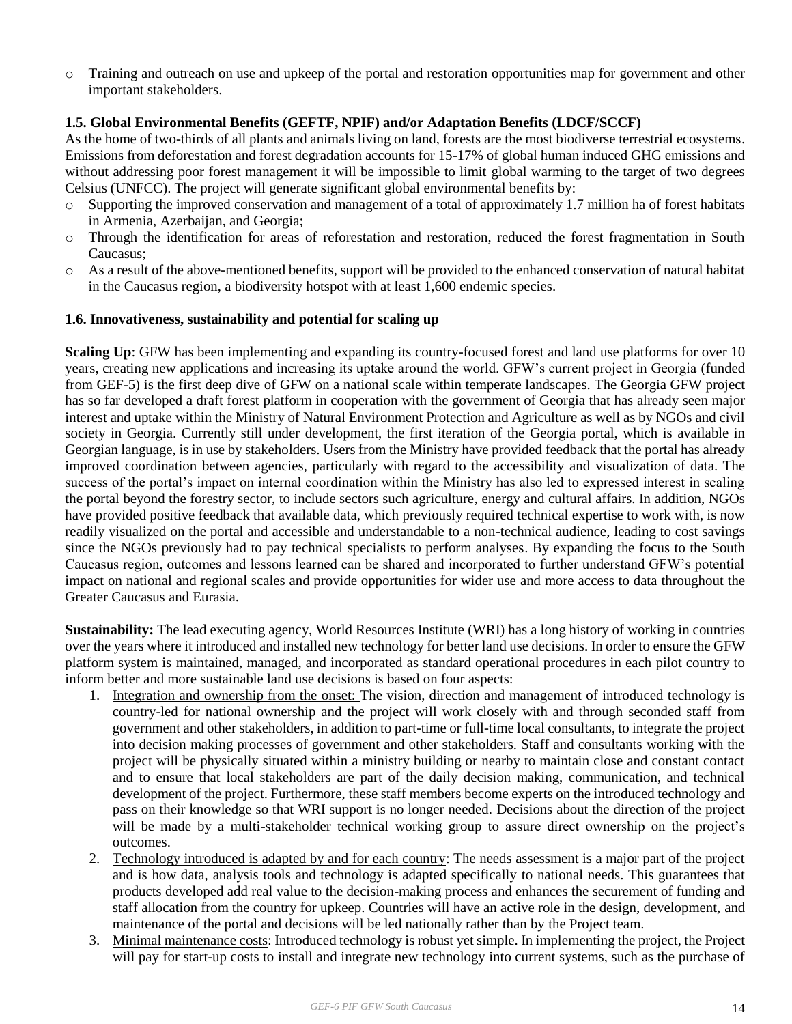o Training and outreach on use and upkeep of the portal and restoration opportunities map for government and other important stakeholders.

### **1.5. Global Environmental Benefits (GEFTF, NPIF) and/or Adaptation Benefits (LDCF/SCCF)**

As the home of two-thirds of all plants and animals living on land, forests are the most biodiverse terrestrial ecosystems. Emissions from deforestation and forest degradation accounts for 15-17% of global human induced GHG emissions and without addressing poor forest management it will be impossible to limit global warming to the target of two degrees Celsius (UNFCC). The project will generate significant global environmental benefits by:

- o Supporting the improved conservation and management of a total of approximately 1.7 million ha of forest habitats in Armenia, Azerbaijan, and Georgia;
- o Through the identification for areas of reforestation and restoration, reduced the forest fragmentation in South Caucasus;
- o As a result of the above-mentioned benefits, support will be provided to the enhanced conservation of natural habitat in the Caucasus region, a biodiversity hotspot with at least 1,600 endemic species.

#### **1.6. Innovativeness, sustainability and potential for scaling up**

**Scaling Up**: GFW has been implementing and expanding its country-focused forest and land use platforms for over 10 years, creating new applications and increasing its uptake around the world. GFW's current project in Georgia (funded from GEF-5) is the first deep dive of GFW on a national scale within temperate landscapes. The Georgia GFW project has so far developed a draft forest platform in cooperation with the government of Georgia that has already seen major interest and uptake within the Ministry of Natural Environment Protection and Agriculture as well as by NGOs and civil society in Georgia. Currently still under development, the first iteration of the Georgia portal, which is available in Georgian language, is in use by stakeholders. Users from the Ministry have provided feedback that the portal has already improved coordination between agencies, particularly with regard to the accessibility and visualization of data. The success of the portal's impact on internal coordination within the Ministry has also led to expressed interest in scaling the portal beyond the forestry sector, to include sectors such agriculture, energy and cultural affairs. In addition, NGOs have provided positive feedback that available data, which previously required technical expertise to work with, is now readily visualized on the portal and accessible and understandable to a non-technical audience, leading to cost savings since the NGOs previously had to pay technical specialists to perform analyses. By expanding the focus to the South Caucasus region, outcomes and lessons learned can be shared and incorporated to further understand GFW's potential impact on national and regional scales and provide opportunities for wider use and more access to data throughout the Greater Caucasus and Eurasia.

**Sustainability:** The lead executing agency, World Resources Institute (WRI) has a long history of working in countries over the years where it introduced and installed new technology for better land use decisions. In order to ensure the GFW platform system is maintained, managed, and incorporated as standard operational procedures in each pilot country to inform better and more sustainable land use decisions is based on four aspects:

- 1. Integration and ownership from the onset: The vision, direction and management of introduced technology is country-led for national ownership and the project will work closely with and through seconded staff from government and other stakeholders, in addition to part-time or full-time local consultants, to integrate the project into decision making processes of government and other stakeholders. Staff and consultants working with the project will be physically situated within a ministry building or nearby to maintain close and constant contact and to ensure that local stakeholders are part of the daily decision making, communication, and technical development of the project. Furthermore, these staff members become experts on the introduced technology and pass on their knowledge so that WRI support is no longer needed. Decisions about the direction of the project will be made by a multi-stakeholder technical working group to assure direct ownership on the project's outcomes.
- 2. Technology introduced is adapted by and for each country: The needs assessment is a major part of the project and is how data, analysis tools and technology is adapted specifically to national needs. This guarantees that products developed add real value to the decision-making process and enhances the securement of funding and staff allocation from the country for upkeep. Countries will have an active role in the design, development, and maintenance of the portal and decisions will be led nationally rather than by the Project team.
- 3. Minimal maintenance costs: Introduced technology is robust yet simple. In implementing the project, the Project will pay for start-up costs to install and integrate new technology into current systems, such as the purchase of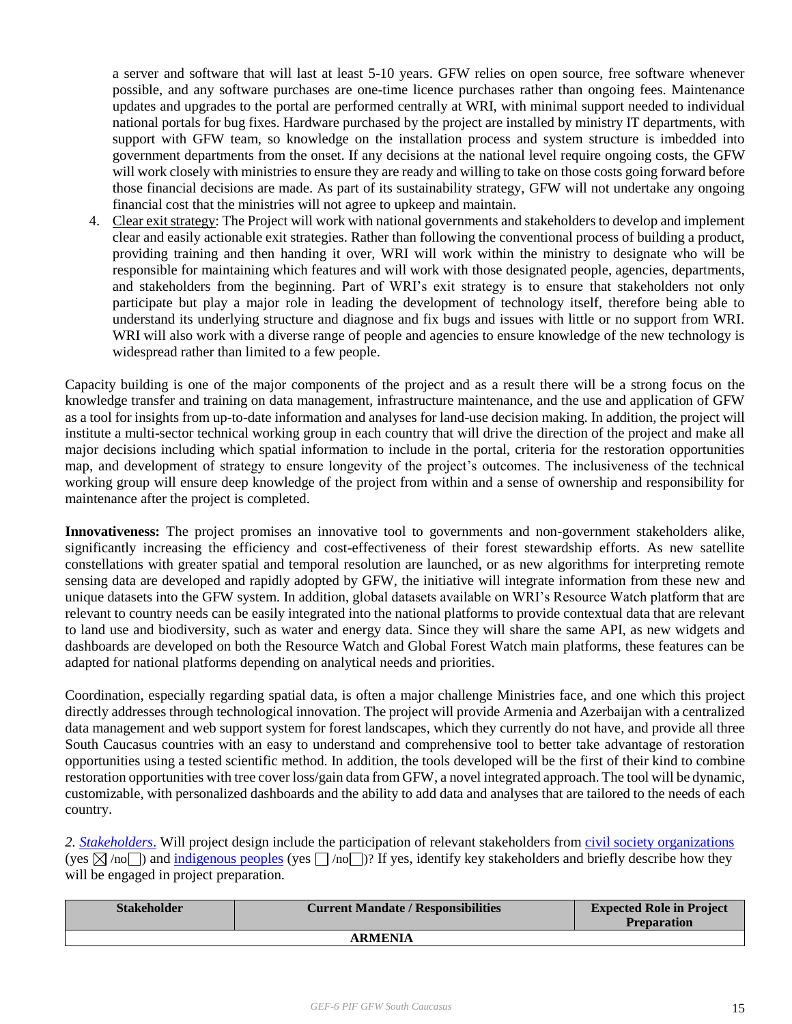a server and software that will last at least 5-10 years. GFW relies on open source, free software whenever possible, and any software purchases are one-time licence purchases rather than ongoing fees. Maintenance updates and upgrades to the portal are performed centrally at WRI, with minimal support needed to individual national portals for bug fixes. Hardware purchased by the project are installed by ministry IT departments, with support with GFW team, so knowledge on the installation process and system structure is imbedded into government departments from the onset. If any decisions at the national level require ongoing costs, the GFW will work closely with ministries to ensure they are ready and willing to take on those costs going forward before those financial decisions are made. As part of its sustainability strategy, GFW will not undertake any ongoing financial cost that the ministries will not agree to upkeep and maintain.

4. Clear exit strategy: The Project will work with national governments and stakeholders to develop and implement clear and easily actionable exit strategies. Rather than following the conventional process of building a product, providing training and then handing it over, WRI will work within the ministry to designate who will be responsible for maintaining which features and will work with those designated people, agencies, departments, and stakeholders from the beginning. Part of WRI's exit strategy is to ensure that stakeholders not only participate but play a major role in leading the development of technology itself, therefore being able to understand its underlying structure and diagnose and fix bugs and issues with little or no support from WRI. WRI will also work with a diverse range of people and agencies to ensure knowledge of the new technology is widespread rather than limited to a few people.

Capacity building is one of the major components of the project and as a result there will be a strong focus on the knowledge transfer and training on data management, infrastructure maintenance, and the use and application of GFW as a tool for insights from up-to-date information and analyses for land-use decision making. In addition, the project will institute a multi-sector technical working group in each country that will drive the direction of the project and make all major decisions including which spatial information to include in the portal, criteria for the restoration opportunities map, and development of strategy to ensure longevity of the project's outcomes. The inclusiveness of the technical working group will ensure deep knowledge of the project from within and a sense of ownership and responsibility for maintenance after the project is completed.

**Innovativeness:** The project promises an innovative tool to governments and non-government stakeholders alike, significantly increasing the efficiency and cost-effectiveness of their forest stewardship efforts. As new satellite constellations with greater spatial and temporal resolution are launched, or as new algorithms for interpreting remote sensing data are developed and rapidly adopted by GFW, the initiative will integrate information from these new and unique datasets into the GFW system. In addition, global datasets available on WRI's Resource Watch platform that are relevant to country needs can be easily integrated into the national platforms to provide contextual data that are relevant to land use and biodiversity, such as water and energy data. Since they will share the same API, as new widgets and dashboards are developed on both the Resource Watch and Global Forest Watch main platforms, these features can be adapted for national platforms depending on analytical needs and priorities.

Coordination, especially regarding spatial data, is often a major challenge Ministries face, and one which this project directly addresses through technological innovation. The project will provide Armenia and Azerbaijan with a centralized data management and web support system for forest landscapes, which they currently do not have, and provide all three South Caucasus countries with an easy to understand and comprehensive tool to better take advantage of restoration opportunities using a tested scientific method. In addition, the tools developed will be the first of their kind to combine restoration opportunities with tree cover loss/gain data from GFW, a novel integrated approach. The tool will be dynamic, customizable, with personalized dashboards and the ability to add data and analyses that are tailored to the needs of each country.

*2. [Stakeholders](http://www.thegef.org/gef/sites/thegef.org/files/documents/document/Public_Involvement_Policy.Dec_1_2011_rev_PB.pdf)*. Will project design include the participation of relevant stakeholders from [civil society organizations](http://www.thegef.org/gef/csos) (yes  $\boxtimes$  /no ) and [indigenous peoples](http://www.thegef.org/gef/sites/thegef.org/files/publication/GEF%20IndigenousPeople_CRA_lores.pdf) (yes  $\Box$ /no )? If yes, identify key stakeholders and briefly describe how they will be engaged in project preparation.

| <b>Stakeholder</b> | <b>Current Mandate / Responsibilities</b> | <b>Expected Role in Project</b><br><b>Preparation</b> |  |  |  |
|--------------------|-------------------------------------------|-------------------------------------------------------|--|--|--|
| <b>ARMENIA</b>     |                                           |                                                       |  |  |  |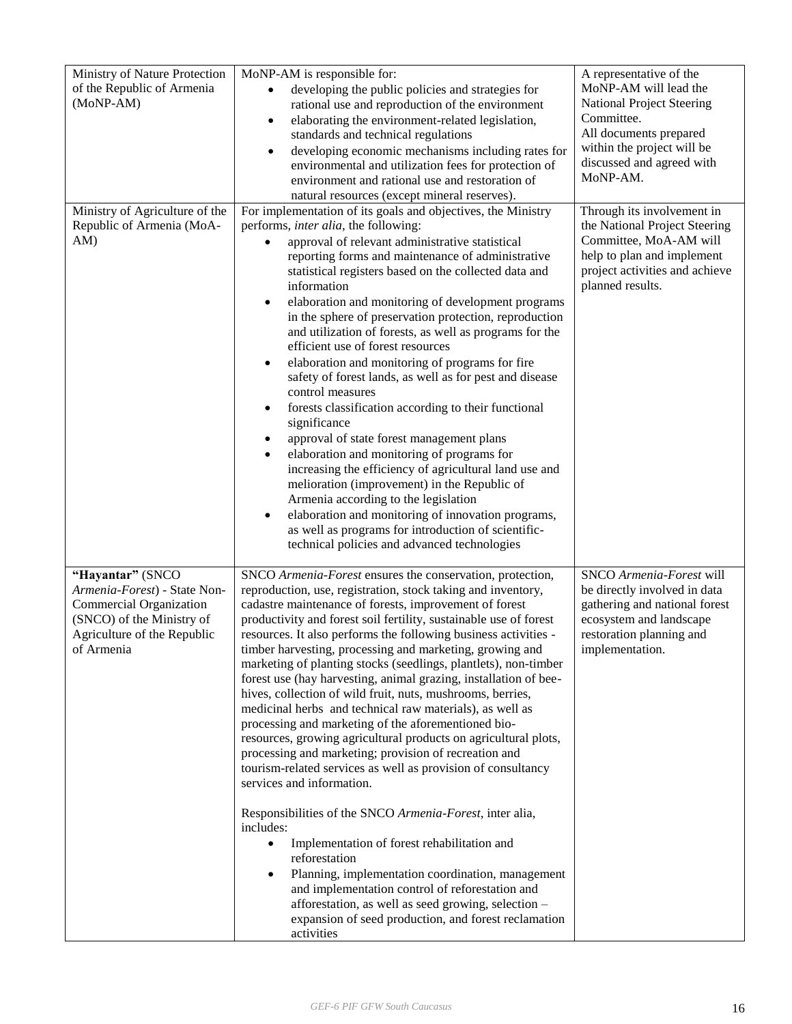| Ministry of Nature Protection<br>of the Republic of Armenia<br>(MoNP-AM)                                                                              | MoNP-AM is responsible for:<br>developing the public policies and strategies for<br>$\bullet$<br>rational use and reproduction of the environment<br>elaborating the environment-related legislation,<br>$\bullet$<br>standards and technical regulations<br>developing economic mechanisms including rates for<br>$\bullet$<br>environmental and utilization fees for protection of<br>environment and rational use and restoration of<br>natural resources (except mineral reserves).                                                                                                                                                                                                                                                                                                                                                                                                                                                                                                                                                                                                                                                                                                                                                                                                                                                          | A representative of the<br>MoNP-AM will lead the<br>National Project Steering<br>Committee.<br>All documents prepared<br>within the project will be<br>discussed and agreed with<br>MoNP-AM. |
|-------------------------------------------------------------------------------------------------------------------------------------------------------|--------------------------------------------------------------------------------------------------------------------------------------------------------------------------------------------------------------------------------------------------------------------------------------------------------------------------------------------------------------------------------------------------------------------------------------------------------------------------------------------------------------------------------------------------------------------------------------------------------------------------------------------------------------------------------------------------------------------------------------------------------------------------------------------------------------------------------------------------------------------------------------------------------------------------------------------------------------------------------------------------------------------------------------------------------------------------------------------------------------------------------------------------------------------------------------------------------------------------------------------------------------------------------------------------------------------------------------------------|----------------------------------------------------------------------------------------------------------------------------------------------------------------------------------------------|
| Ministry of Agriculture of the<br>Republic of Armenia (MoA-<br>AM)                                                                                    | For implementation of its goals and objectives, the Ministry<br>performs, <i>inter alia</i> , the following:<br>approval of relevant administrative statistical<br>reporting forms and maintenance of administrative<br>statistical registers based on the collected data and<br>information<br>elaboration and monitoring of development programs<br>٠<br>in the sphere of preservation protection, reproduction<br>and utilization of forests, as well as programs for the<br>efficient use of forest resources<br>elaboration and monitoring of programs for fire<br>$\bullet$<br>safety of forest lands, as well as for pest and disease<br>control measures<br>forests classification according to their functional<br>٠<br>significance<br>approval of state forest management plans<br>٠<br>elaboration and monitoring of programs for<br>٠<br>increasing the efficiency of agricultural land use and<br>melioration (improvement) in the Republic of<br>Armenia according to the legislation<br>elaboration and monitoring of innovation programs,<br>$\bullet$<br>as well as programs for introduction of scientific-<br>technical policies and advanced technologies                                                                                                                                                                   | Through its involvement in<br>the National Project Steering<br>Committee, MoA-AM will<br>help to plan and implement<br>project activities and achieve<br>planned results.                    |
| "Hayantar" (SNCO<br>Armenia-Forest) - State Non-<br>Commercial Organization<br>(SNCO) of the Ministry of<br>Agriculture of the Republic<br>of Armenia | SNCO Armenia-Forest ensures the conservation, protection,<br>reproduction, use, registration, stock taking and inventory,<br>cadastre maintenance of forests, improvement of forest<br>productivity and forest soil fertility, sustainable use of forest<br>resources. It also performs the following business activities -<br>timber harvesting, processing and marketing, growing and<br>marketing of planting stocks (seedlings, plantlets), non-timber<br>forest use (hay harvesting, animal grazing, installation of bee-<br>hives, collection of wild fruit, nuts, mushrooms, berries,<br>medicinal herbs and technical raw materials), as well as<br>processing and marketing of the aforementioned bio-<br>resources, growing agricultural products on agricultural plots,<br>processing and marketing; provision of recreation and<br>tourism-related services as well as provision of consultancy<br>services and information.<br>Responsibilities of the SNCO Armenia-Forest, inter alia,<br>includes:<br>Implementation of forest rehabilitation and<br>$\bullet$<br>reforestation<br>Planning, implementation coordination, management<br>$\bullet$<br>and implementation control of reforestation and<br>afforestation, as well as seed growing, selection -<br>expansion of seed production, and forest reclamation<br>activities | SNCO Armenia-Forest will<br>be directly involved in data<br>gathering and national forest<br>ecosystem and landscape<br>restoration planning and<br>implementation.                          |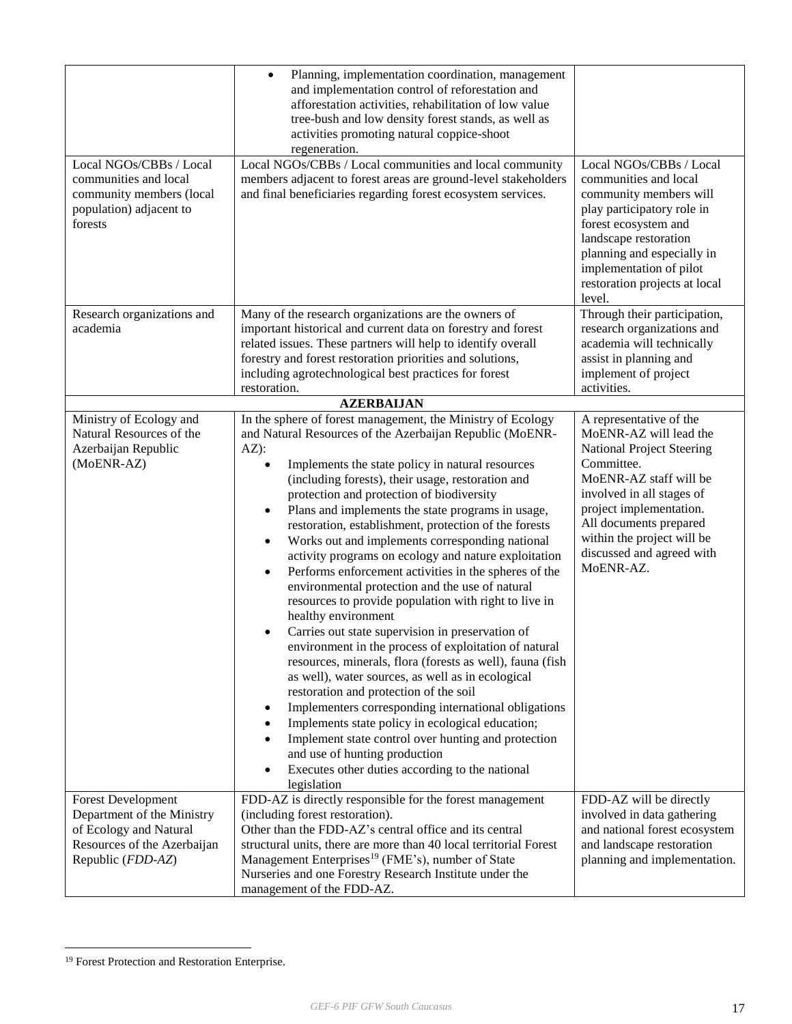|                             | Planning, implementation coordination, management<br>$\bullet$<br>and implementation control of reforestation and<br>afforestation activities, rehabilitation of low value<br>tree-bush and low density forest stands, as well as<br>activities promoting natural coppice-shoot<br>regeneration. |                                                           |  |  |  |
|-----------------------------|--------------------------------------------------------------------------------------------------------------------------------------------------------------------------------------------------------------------------------------------------------------------------------------------------|-----------------------------------------------------------|--|--|--|
| Local NGOs/CBBs / Local     | Local NGOs/CBBs / Local communities and local community                                                                                                                                                                                                                                          | Local NGOs/CBBs / Local                                   |  |  |  |
| communities and local       | members adjacent to forest areas are ground-level stakeholders                                                                                                                                                                                                                                   | communities and local                                     |  |  |  |
| community members (local    | and final beneficiaries regarding forest ecosystem services.                                                                                                                                                                                                                                     | community members will                                    |  |  |  |
| population) adjacent to     |                                                                                                                                                                                                                                                                                                  | play participatory role in                                |  |  |  |
| forests                     |                                                                                                                                                                                                                                                                                                  | forest ecosystem and                                      |  |  |  |
|                             |                                                                                                                                                                                                                                                                                                  | landscape restoration                                     |  |  |  |
|                             |                                                                                                                                                                                                                                                                                                  | planning and especially in                                |  |  |  |
|                             |                                                                                                                                                                                                                                                                                                  | implementation of pilot                                   |  |  |  |
|                             |                                                                                                                                                                                                                                                                                                  | restoration projects at local                             |  |  |  |
|                             |                                                                                                                                                                                                                                                                                                  | level.                                                    |  |  |  |
| Research organizations and  | Many of the research organizations are the owners of                                                                                                                                                                                                                                             | Through their participation,                              |  |  |  |
| academia                    | important historical and current data on forestry and forest                                                                                                                                                                                                                                     | research organizations and                                |  |  |  |
|                             | related issues. These partners will help to identify overall                                                                                                                                                                                                                                     | academia will technically                                 |  |  |  |
|                             | forestry and forest restoration priorities and solutions,                                                                                                                                                                                                                                        | assist in planning and                                    |  |  |  |
|                             | including agrotechnological best practices for forest<br>restoration.                                                                                                                                                                                                                            | implement of project<br>activities.                       |  |  |  |
|                             | <b>AZERBALJAN</b>                                                                                                                                                                                                                                                                                |                                                           |  |  |  |
| Ministry of Ecology and     | In the sphere of forest management, the Ministry of Ecology                                                                                                                                                                                                                                      | A representative of the                                   |  |  |  |
| Natural Resources of the    | and Natural Resources of the Azerbaijan Republic (MoENR-                                                                                                                                                                                                                                         | MoENR-AZ will lead the                                    |  |  |  |
| Azerbaijan Republic         | $AZ)$ :                                                                                                                                                                                                                                                                                          | <b>National Project Steering</b>                          |  |  |  |
| (MoENR-AZ)                  | Implements the state policy in natural resources                                                                                                                                                                                                                                                 | Committee.                                                |  |  |  |
|                             | (including forests), their usage, restoration and                                                                                                                                                                                                                                                | MoENR-AZ staff will be                                    |  |  |  |
|                             | protection and protection of biodiversity                                                                                                                                                                                                                                                        | involved in all stages of                                 |  |  |  |
|                             | Plans and implements the state programs in usage,                                                                                                                                                                                                                                                | project implementation.                                   |  |  |  |
|                             | restoration, establishment, protection of the forests                                                                                                                                                                                                                                            | All documents prepared                                    |  |  |  |
|                             | Works out and implements corresponding national<br>$\bullet$                                                                                                                                                                                                                                     | within the project will be                                |  |  |  |
|                             | activity programs on ecology and nature exploitation                                                                                                                                                                                                                                             | discussed and agreed with<br>MoENR-AZ.                    |  |  |  |
|                             | Performs enforcement activities in the spheres of the<br>$\bullet$                                                                                                                                                                                                                               |                                                           |  |  |  |
|                             | environmental protection and the use of natural                                                                                                                                                                                                                                                  |                                                           |  |  |  |
|                             | resources to provide population with right to live in<br>healthy environment                                                                                                                                                                                                                     |                                                           |  |  |  |
|                             | Carries out state supervision in preservation of                                                                                                                                                                                                                                                 |                                                           |  |  |  |
|                             | environment in the process of exploitation of natural                                                                                                                                                                                                                                            |                                                           |  |  |  |
|                             | resources, minerals, flora (forests as well), fauna (fish                                                                                                                                                                                                                                        |                                                           |  |  |  |
|                             | as well), water sources, as well as in ecological                                                                                                                                                                                                                                                |                                                           |  |  |  |
|                             | restoration and protection of the soil                                                                                                                                                                                                                                                           |                                                           |  |  |  |
|                             | Implementers corresponding international obligations<br>٠                                                                                                                                                                                                                                        |                                                           |  |  |  |
|                             | Implements state policy in ecological education;<br>٠                                                                                                                                                                                                                                            |                                                           |  |  |  |
|                             | Implement state control over hunting and protection                                                                                                                                                                                                                                              |                                                           |  |  |  |
|                             | and use of hunting production                                                                                                                                                                                                                                                                    |                                                           |  |  |  |
|                             | Executes other duties according to the national                                                                                                                                                                                                                                                  |                                                           |  |  |  |
|                             | legislation                                                                                                                                                                                                                                                                                      |                                                           |  |  |  |
| Forest Development          | FDD-AZ is directly responsible for the forest management                                                                                                                                                                                                                                         | FDD-AZ will be directly                                   |  |  |  |
| Department of the Ministry  | (including forest restoration).                                                                                                                                                                                                                                                                  | involved in data gathering                                |  |  |  |
| of Ecology and Natural      | Other than the FDD-AZ's central office and its central                                                                                                                                                                                                                                           | and national forest ecosystem                             |  |  |  |
| Resources of the Azerbaijan | structural units, there are more than 40 local territorial Forest                                                                                                                                                                                                                                | and landscape restoration<br>planning and implementation. |  |  |  |
| Republic (FDD-AZ)           | Management Enterprises <sup>19</sup> (FME's), number of State<br>Nurseries and one Forestry Research Institute under the                                                                                                                                                                         |                                                           |  |  |  |
|                             | management of the FDD-AZ.                                                                                                                                                                                                                                                                        |                                                           |  |  |  |
|                             |                                                                                                                                                                                                                                                                                                  |                                                           |  |  |  |

<sup>&</sup>lt;sup>19</sup> Forest Protection and Restoration Enterprise.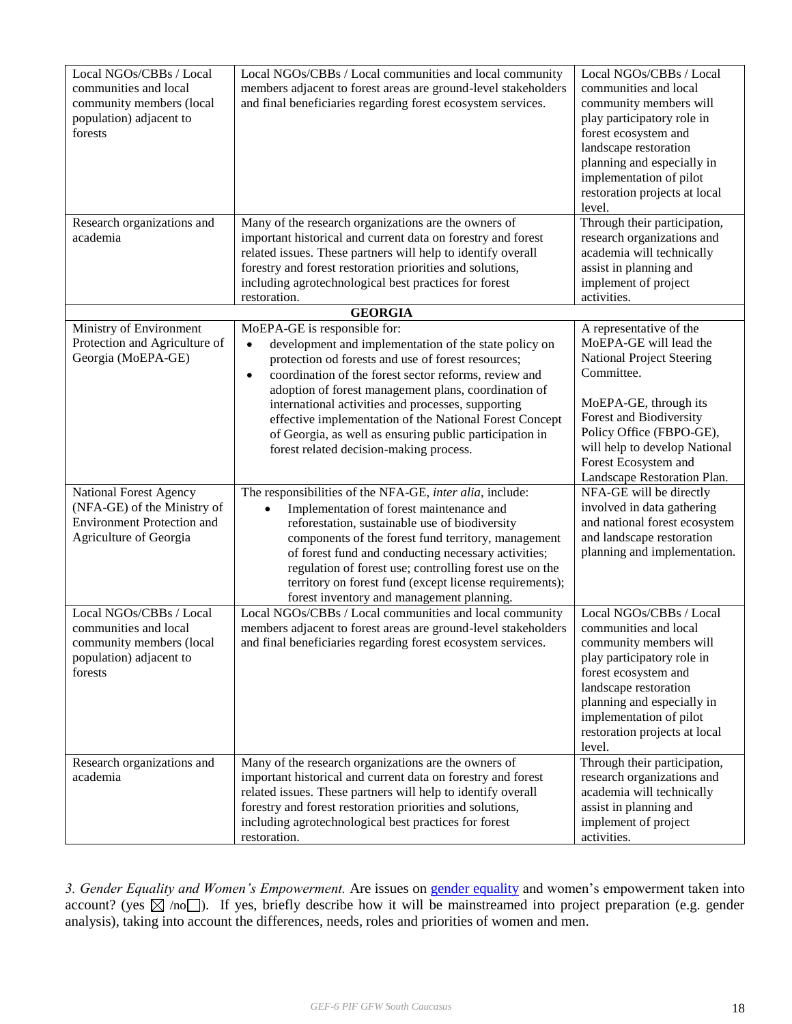| Local NGOs/CBBs / Local<br>communities and local<br>community members (local<br>population) adjacent to<br>forests<br>Research organizations and<br>academia | Local NGOs/CBBs / Local communities and local community<br>members adjacent to forest areas are ground-level stakeholders<br>and final beneficiaries regarding forest ecosystem services.<br>Many of the research organizations are the owners of<br>important historical and current data on forestry and forest<br>related issues. These partners will help to identify overall<br>forestry and forest restoration priorities and solutions,                                                                | Local NGOs/CBBs / Local<br>communities and local<br>community members will<br>play participatory role in<br>forest ecosystem and<br>landscape restoration<br>planning and especially in<br>implementation of pilot<br>restoration projects at local<br>level.<br>Through their participation,<br>research organizations and<br>academia will technically<br>assist in planning and |
|--------------------------------------------------------------------------------------------------------------------------------------------------------------|---------------------------------------------------------------------------------------------------------------------------------------------------------------------------------------------------------------------------------------------------------------------------------------------------------------------------------------------------------------------------------------------------------------------------------------------------------------------------------------------------------------|------------------------------------------------------------------------------------------------------------------------------------------------------------------------------------------------------------------------------------------------------------------------------------------------------------------------------------------------------------------------------------|
|                                                                                                                                                              | including agrotechnological best practices for forest                                                                                                                                                                                                                                                                                                                                                                                                                                                         | implement of project                                                                                                                                                                                                                                                                                                                                                               |
|                                                                                                                                                              | restoration.                                                                                                                                                                                                                                                                                                                                                                                                                                                                                                  | activities.                                                                                                                                                                                                                                                                                                                                                                        |
|                                                                                                                                                              | <b>GEORGIA</b>                                                                                                                                                                                                                                                                                                                                                                                                                                                                                                |                                                                                                                                                                                                                                                                                                                                                                                    |
| Ministry of Environment<br>Protection and Agriculture of<br>Georgia (MoEPA-GE)                                                                               | MoEPA-GE is responsible for:<br>development and implementation of the state policy on<br>$\bullet$<br>protection od forests and use of forest resources;<br>coordination of the forest sector reforms, review and<br>$\bullet$<br>adoption of forest management plans, coordination of<br>international activities and processes, supporting<br>effective implementation of the National Forest Concept<br>of Georgia, as well as ensuring public participation in<br>forest related decision-making process. | A representative of the<br>MoEPA-GE will lead the<br><b>National Project Steering</b><br>Committee.<br>MoEPA-GE, through its<br>Forest and Biodiversity<br>Policy Office (FBPO-GE),<br>will help to develop National<br>Forest Ecosystem and<br>Landscape Restoration Plan.                                                                                                        |
| <b>National Forest Agency</b><br>(NFA-GE) of the Ministry of<br><b>Environment Protection and</b><br>Agriculture of Georgia                                  | The responsibilities of the NFA-GE, inter alia, include:<br>Implementation of forest maintenance and<br>$\bullet$<br>reforestation, sustainable use of biodiversity<br>components of the forest fund territory, management<br>of forest fund and conducting necessary activities;<br>regulation of forest use; controlling forest use on the<br>territory on forest fund (except license requirements);<br>forest inventory and management planning.                                                          | NFA-GE will be directly<br>involved in data gathering<br>and national forest ecosystem<br>and landscape restoration<br>planning and implementation.                                                                                                                                                                                                                                |
| Local NGOs/CBBs / Local<br>communities and local<br>community members (local<br>population) adjacent to<br>forests                                           | Local NGOs/CBBs / Local communities and local community<br>members adjacent to forest areas are ground-level stakeholders<br>and final beneficiaries regarding forest ecosystem services.                                                                                                                                                                                                                                                                                                                     | Local NGOs/CBBs / Local<br>communities and local<br>community members will<br>play participatory role in<br>forest ecosystem and<br>landscape restoration<br>planning and especially in<br>implementation of pilot<br>restoration projects at local<br>level.                                                                                                                      |
| Research organizations and<br>academia                                                                                                                       | Many of the research organizations are the owners of<br>important historical and current data on forestry and forest<br>related issues. These partners will help to identify overall<br>forestry and forest restoration priorities and solutions,<br>including agrotechnological best practices for forest<br>restoration.                                                                                                                                                                                    | Through their participation,<br>research organizations and<br>academia will technically<br>assist in planning and<br>implement of project<br>activities.                                                                                                                                                                                                                           |

*3. Gender Equality and Women's Empowerment.* Are issues on [gender equality](http://www.thegef.org/gef/policy/gender) and women's empowerment taken into account? (yes  $\boxtimes$  /no ). If yes, briefly describe how it will be mainstreamed into project preparation (e.g. gender analysis), taking into account the differences, needs, roles and priorities of women and men.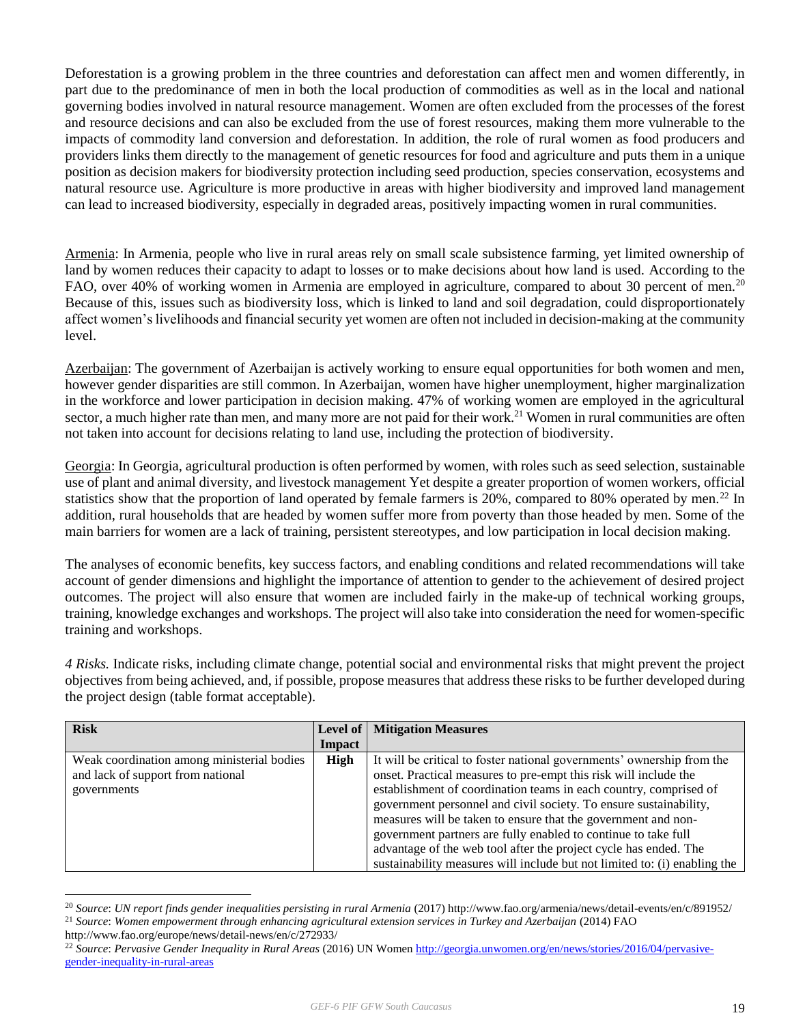Deforestation is a growing problem in the three countries and deforestation can affect men and women differently, in part due to the predominance of men in both the local production of commodities as well as in the local and national governing bodies involved in natural resource management. Women are often excluded from the processes of the forest and resource decisions and can also be excluded from the use of forest resources, making them more vulnerable to the impacts of commodity land conversion and deforestation. In addition, the role of rural women as food producers and providers links them directly to the management of genetic resources for food and agriculture and puts them in a unique position as decision makers for biodiversity protection including seed production, species conservation, ecosystems and natural resource use. Agriculture is more productive in areas with higher biodiversity and improved land management can lead to increased biodiversity, especially in degraded areas, positively impacting women in rural communities.

Armenia: In Armenia, people who live in rural areas rely on small scale subsistence farming, yet limited ownership of land by women reduces their capacity to adapt to losses or to make decisions about how land is used. According to the FAO, over 40% of working women in Armenia are employed in agriculture, compared to about 30 percent of men.<sup>20</sup> Because of this, issues such as biodiversity loss, which is linked to land and soil degradation, could disproportionately affect women's livelihoods and financial security yet women are often not included in decision-making at the community level.

Azerbaijan: The government of Azerbaijan is actively working to ensure equal opportunities for both women and men, however gender disparities are still common. In Azerbaijan, women have higher unemployment, higher marginalization in the workforce and lower participation in decision making. 47% of working women are employed in the agricultural sector, a much higher rate than men, and many more are not paid for their work.<sup>21</sup> Women in rural communities are often not taken into account for decisions relating to land use, including the protection of biodiversity.

Georgia: In Georgia, agricultural production is often performed by women, with roles such as seed selection, sustainable use of plant and animal diversity, and livestock management Yet despite a greater proportion of women workers, official statistics show that the proportion of land operated by female farmers is  $20\%$ , compared to 80% operated by men.<sup>22</sup> In addition, rural households that are headed by women suffer more from poverty than those headed by men. Some of the main barriers for women are a lack of training, persistent stereotypes, and low participation in local decision making.

The analyses of economic benefits, key success factors, and enabling conditions and related recommendations will take account of gender dimensions and highlight the importance of attention to gender to the achievement of desired project outcomes. The project will also ensure that women are included fairly in the make-up of technical working groups, training, knowledge exchanges and workshops. The project will also take into consideration the need for women-specific training and workshops.

*4 Risks.* Indicate risks, including climate change, potential social and environmental risks that might prevent the project objectives from being achieved, and, if possible, propose measures that address these risks to be further developed during the project design (table format acceptable).

| <b>Risk</b>                                |               | <b>Level of   Mitigation Measures</b>                                     |
|--------------------------------------------|---------------|---------------------------------------------------------------------------|
|                                            | <b>Impact</b> |                                                                           |
| Weak coordination among ministerial bodies | High          | It will be critical to foster national governments' ownership from the    |
| and lack of support from national          |               | onset. Practical measures to pre-empt this risk will include the          |
| governments                                |               | establishment of coordination teams in each country, comprised of         |
|                                            |               | government personnel and civil society. To ensure sustainability,         |
|                                            |               | measures will be taken to ensure that the government and non-             |
|                                            |               | government partners are fully enabled to continue to take full            |
|                                            |               | advantage of the web tool after the project cycle has ended. The          |
|                                            |               | sustainability measures will include but not limited to: (i) enabling the |

<sup>20</sup> *Source*: *UN report finds gender inequalities persisting in rural Armenia* (2017) http://www.fao.org/armenia/news/detail-events/en/c/891952/ <sup>21</sup> *Source*: *Women empowerment through enhancing agricultural extension services in Turkey and Azerbaijan* (2014) FAO

http://www.fao.org/europe/news/detail-news/en/c/272933/

<sup>22</sup> *Source*: *Pervasive Gender Inequality in Rural Areas* (2016) UN Wome[n http://georgia.unwomen.org/en/news/stories/2016/04/pervasive](http://georgia.unwomen.org/en/news/stories/2016/04/pervasive-gender-inequality-in-rural-areas)[gender-inequality-in-rural-areas](http://georgia.unwomen.org/en/news/stories/2016/04/pervasive-gender-inequality-in-rural-areas)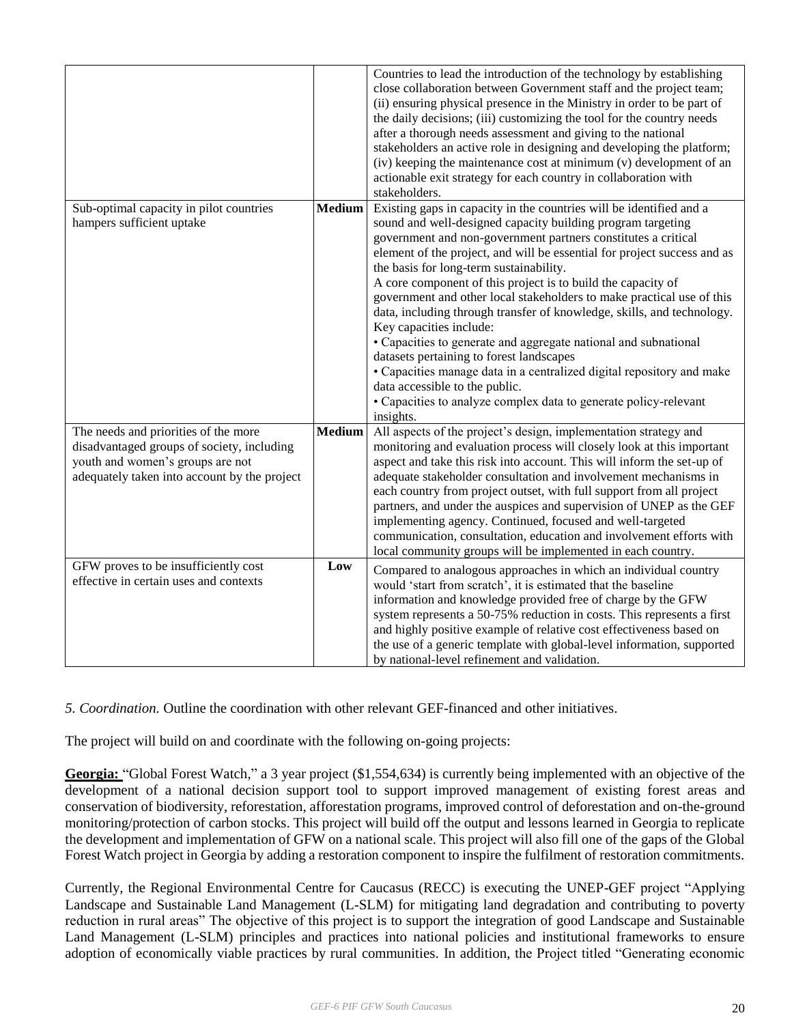|                                                                                  |               | Countries to lead the introduction of the technology by establishing<br>close collaboration between Government staff and the project team;    |
|----------------------------------------------------------------------------------|---------------|-----------------------------------------------------------------------------------------------------------------------------------------------|
|                                                                                  |               | (ii) ensuring physical presence in the Ministry in order to be part of                                                                        |
|                                                                                  |               | the daily decisions; (iii) customizing the tool for the country needs                                                                         |
|                                                                                  |               | after a thorough needs assessment and giving to the national                                                                                  |
|                                                                                  |               | stakeholders an active role in designing and developing the platform;                                                                         |
|                                                                                  |               | (iv) keeping the maintenance cost at minimum (v) development of an                                                                            |
|                                                                                  |               | actionable exit strategy for each country in collaboration with<br>stakeholders.                                                              |
| Sub-optimal capacity in pilot countries                                          | <b>Medium</b> | Existing gaps in capacity in the countries will be identified and a                                                                           |
| hampers sufficient uptake                                                        |               | sound and well-designed capacity building program targeting                                                                                   |
|                                                                                  |               | government and non-government partners constitutes a critical                                                                                 |
|                                                                                  |               | element of the project, and will be essential for project success and as<br>the basis for long-term sustainability.                           |
|                                                                                  |               | A core component of this project is to build the capacity of                                                                                  |
|                                                                                  |               | government and other local stakeholders to make practical use of this                                                                         |
|                                                                                  |               | data, including through transfer of knowledge, skills, and technology.                                                                        |
|                                                                                  |               | Key capacities include:                                                                                                                       |
|                                                                                  |               | • Capacities to generate and aggregate national and subnational                                                                               |
|                                                                                  |               | datasets pertaining to forest landscapes<br>• Capacities manage data in a centralized digital repository and make                             |
|                                                                                  |               | data accessible to the public.                                                                                                                |
|                                                                                  |               | • Capacities to analyze complex data to generate policy-relevant                                                                              |
|                                                                                  |               | insights.                                                                                                                                     |
| The needs and priorities of the more                                             | <b>Medium</b> | All aspects of the project's design, implementation strategy and                                                                              |
| disadvantaged groups of society, including                                       |               | monitoring and evaluation process will closely look at this important                                                                         |
| youth and women's groups are not<br>adequately taken into account by the project |               | aspect and take this risk into account. This will inform the set-up of<br>adequate stakeholder consultation and involvement mechanisms in     |
|                                                                                  |               | each country from project outset, with full support from all project                                                                          |
|                                                                                  |               | partners, and under the auspices and supervision of UNEP as the GEF                                                                           |
|                                                                                  |               | implementing agency. Continued, focused and well-targeted                                                                                     |
|                                                                                  |               | communication, consultation, education and involvement efforts with                                                                           |
|                                                                                  |               | local community groups will be implemented in each country.                                                                                   |
| GFW proves to be insufficiently cost<br>effective in certain uses and contexts   | Low           | Compared to analogous approaches in which an individual country                                                                               |
|                                                                                  |               | would 'start from scratch', it is estimated that the baseline                                                                                 |
|                                                                                  |               | information and knowledge provided free of charge by the GFW                                                                                  |
|                                                                                  |               | system represents a 50-75% reduction in costs. This represents a first<br>and highly positive example of relative cost effectiveness based on |
|                                                                                  |               | the use of a generic template with global-level information, supported                                                                        |
|                                                                                  |               | by national-level refinement and validation.                                                                                                  |

# *5. Coordination.* Outline the coordination with other relevant GEF-financed and other initiatives.

The project will build on and coordinate with the following on-going projects:

**Georgia:** "Global Forest Watch," a 3 year project (\$1,554,634) is currently being implemented with an objective of the development of a national decision support tool to support improved management of existing forest areas and conservation of biodiversity, reforestation, afforestation programs, improved control of deforestation and on-the-ground monitoring/protection of carbon stocks. This project will build off the output and lessons learned in Georgia to replicate the development and implementation of GFW on a national scale. This project will also fill one of the gaps of the Global Forest Watch project in Georgia by adding a restoration component to inspire the fulfilment of restoration commitments.

Currently, the Regional Environmental Centre for Caucasus (RECC) is executing the UNEP-GEF project "Applying Landscape and Sustainable Land Management (L-SLM) for mitigating land degradation and contributing to poverty reduction in rural areas" The objective of this project is to support the integration of good Landscape and Sustainable Land Management (L-SLM) principles and practices into national policies and institutional frameworks to ensure adoption of economically viable practices by rural communities. In addition, the Project titled "Generating economic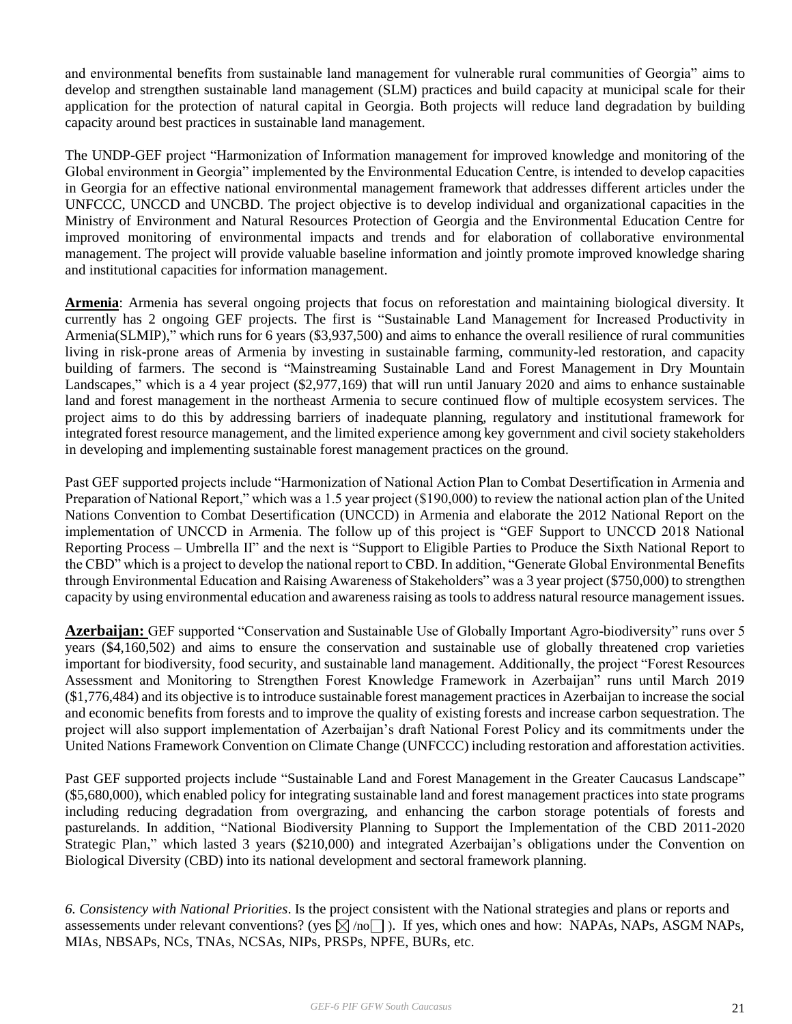and environmental benefits from sustainable land management for vulnerable rural communities of Georgia" aims to develop and strengthen sustainable land management (SLM) practices and build capacity at municipal scale for their application for the protection of natural capital in Georgia. Both projects will reduce land degradation by building capacity around best practices in sustainable land management.

The UNDP-GEF project "Harmonization of Information management for improved knowledge and monitoring of the Global environment in Georgia" implemented by the Environmental Education Centre, is intended to develop capacities in Georgia for an effective national environmental management framework that addresses different articles under the UNFCCC, UNCCD and UNCBD. The project objective is to develop individual and organizational capacities in the Ministry of Environment and Natural Resources Protection of Georgia and the Environmental Education Centre for improved monitoring of environmental impacts and trends and for elaboration of collaborative environmental management. The project will provide valuable baseline information and jointly promote improved knowledge sharing and institutional capacities for information management.

**Armenia**: Armenia has several ongoing projects that focus on reforestation and maintaining biological diversity. It currently has 2 ongoing GEF projects. The first is "Sustainable Land Management for Increased Productivity in Armenia(SLMIP)," which runs for 6 years (\$3,937,500) and aims to enhance the overall resilience of rural communities living in risk-prone areas of Armenia by investing in sustainable farming, community-led restoration, and capacity building of farmers. The second is "Mainstreaming Sustainable Land and Forest Management in Dry Mountain Landscapes," which is a 4 year project (\$2,977,169) that will run until January 2020 and aims to enhance sustainable land and forest management in the northeast Armenia to secure continued flow of multiple ecosystem services. The project aims to do this by addressing barriers of inadequate planning, regulatory and institutional framework for integrated forest resource management, and the limited experience among key government and civil society stakeholders in developing and implementing sustainable forest management practices on the ground.

Past GEF supported projects include "Harmonization of National Action Plan to Combat Desertification in Armenia and Preparation of National Report," which was a 1.5 year project (\$190,000) to review the national action plan of the United Nations Convention to Combat Desertification (UNCCD) in Armenia and elaborate the 2012 National Report on the implementation of UNCCD in Armenia. The follow up of this project is "GEF Support to UNCCD 2018 National Reporting Process – Umbrella II" and the next is "Support to Eligible Parties to Produce the Sixth National Report to the CBD" which is a project to develop the national report to CBD. In addition, "Generate Global Environmental Benefits through Environmental Education and Raising Awareness of Stakeholders" was a 3 year project (\$750,000) to strengthen capacity by using environmental education and awareness raising as tools to address natural resource management issues.

**Azerbaijan:** GEF supported "Conservation and Sustainable Use of Globally Important Agro-biodiversity" runs over 5 years (\$4,160,502) and aims to ensure the conservation and sustainable use of globally threatened crop varieties important for biodiversity, food security, and sustainable land management. Additionally, the project "Forest Resources Assessment and Monitoring to Strengthen Forest Knowledge Framework in Azerbaijan" runs until March 2019 (\$1,776,484) and its objective is to introduce sustainable forest management practices in Azerbaijan to increase the social and economic benefits from forests and to improve the quality of existing forests and increase carbon sequestration. The project will also support implementation of Azerbaijan's draft National Forest Policy and its commitments under the United Nations Framework Convention on Climate Change (UNFCCC) including restoration and afforestation activities.

Past GEF supported projects include "Sustainable Land and Forest Management in the Greater Caucasus Landscape" (\$5,680,000), which enabled policy for integrating sustainable land and forest management practices into state programs including reducing degradation from overgrazing, and enhancing the carbon storage potentials of forests and pasturelands. In addition, "National Biodiversity Planning to Support the Implementation of the CBD 2011-2020 Strategic Plan," which lasted 3 years (\$210,000) and integrated Azerbaijan's obligations under the Convention on Biological Diversity (CBD) into its national development and sectoral framework planning.

*6. Consistency with National Priorities*. Is the project consistent with the National strategies and plans or reports and assessements under relevant conventions? (yes  $\boxtimes$  /no  $\Box$ ). If yes, which ones and how: NAPAs, NAPs, ASGM NAPs, MIAs, NBSAPs, NCs, TNAs, NCSAs, NIPs, PRSPs, NPFE, BURs, etc.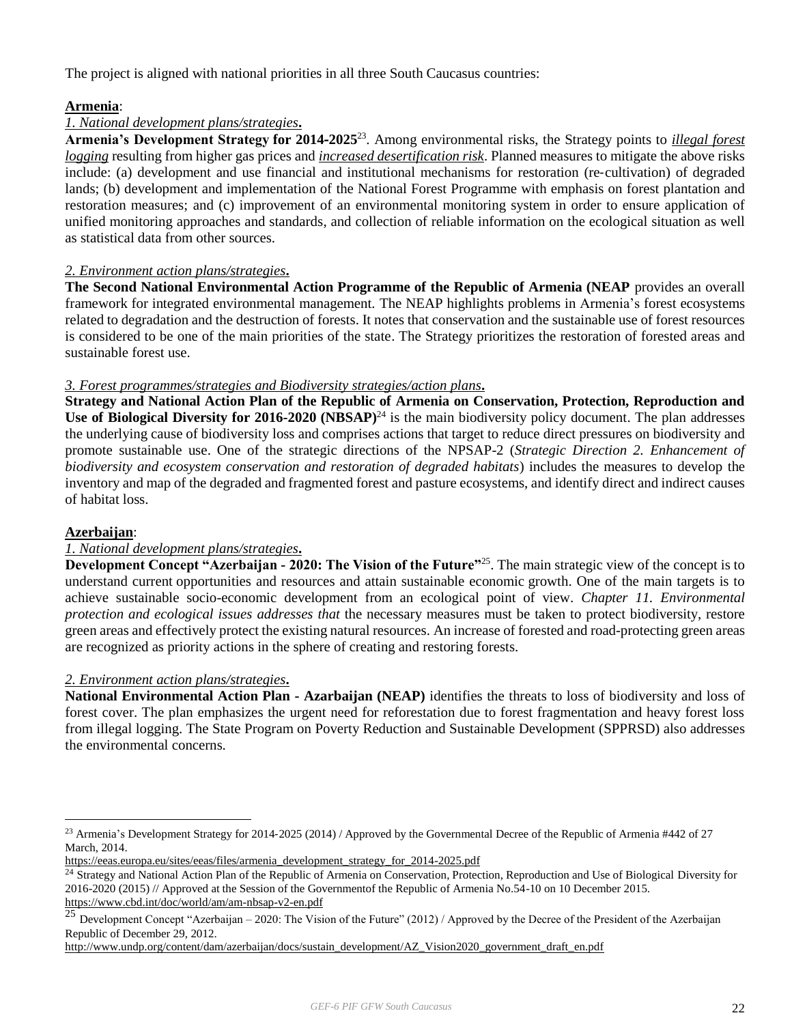The project is aligned with national priorities in all three South Caucasus countries:

# **Armenia**:

# *1. National development plans/strategies***.**

**Armenia's Development Strategy for 2014**‐**2025**<sup>23</sup>. Among environmental risks, the Strategy points to *illegal forest logging* resulting from higher gas prices and *increased desertification risk*. Planned measures to mitigate the above risks include: (a) development and use financial and institutional mechanisms for restoration (re‐cultivation) of degraded lands; (b) development and implementation of the National Forest Programme with emphasis on forest plantation and restoration measures; and (c) improvement of an environmental monitoring system in order to ensure application of unified monitoring approaches and standards, and collection of reliable information on the ecological situation as well as statistical data from other sources.

#### *2. Environment action plans/strategies***.**

**The Second National Environmental Action Programme of the Republic of Armenia (NEAP** provides an overall framework for integrated environmental management. The NEAP highlights problems in Armenia's forest ecosystems related to degradation and the destruction of forests. It notes that conservation and the sustainable use of forest resources is considered to be one of the main priorities of the state. The Strategy prioritizes the restoration of forested areas and sustainable forest use.

#### *3. Forest programmes/strategies and Biodiversity strategies/action plans***.**

**Strategy and National Action Plan of the Republic of Armenia on Conservation, Protection, Reproduction and Use of Biological Diversity for 2016-2020 (NBSAP)**<sup>24</sup> is the main biodiversity policy document. The plan addresses the underlying cause of biodiversity loss and comprises actions that target to reduce direct pressures on biodiversity and promote sustainable use. One of the strategic directions of the NPSAP-2 (*Strategic Direction 2. Enhancement of biodiversity and ecosystem conservation and restoration of degraded habitats*) includes the measures to develop the inventory and map of the degraded and fragmented forest and pasture ecosystems, and identify direct and indirect causes of habitat loss.

#### **Azerbaijan**:

 $\overline{a}$ 

#### *1. National development plans/strategies***.**

**Development Concept "Azerbaijan - 2020: The Vision of the Future"**<sup>25</sup> . The main strategic view of the concept is to understand current opportunities and resources and attain sustainable economic growth. One of the main targets is to achieve sustainable socio-economic development from an ecological point of view. *Chapter 11. Environmental protection and ecological issues addresses that* the necessary measures must be taken to protect biodiversity, restore green areas and effectively protect the existing natural resources. An increase of forested and road-protecting green areas are recognized as priority actions in the sphere of creating and restoring forests.

#### *2. Environment action plans/strategies***.**

**National Environmental Action Plan - Azarbaijan (NEAP)** identifies the threats to loss of biodiversity and loss of forest cover. The plan emphasizes the urgent need for reforestation due to forest fragmentation and heavy forest loss from illegal logging. The State Program on Poverty Reduction and Sustainable Development (SPPRSD) also addresses the environmental concerns.

<sup>&</sup>lt;sup>23</sup> Armenia's Development Strategy for 2014-2025 (2014) / Approved by the Governmental Decree of the Republic of Armenia #442 of 27 March, 2014.

[https://eeas.europa.eu/sites/eeas/files/armenia\\_development\\_strategy\\_for\\_2014-2025.pdf](https://eeas.europa.eu/sites/eeas/files/armenia_development_strategy_for_2014-2025.pdf)

<sup>&</sup>lt;sup>24</sup> Strategy and National Action Plan of the Republic of Armenia on Conservation, Protection, Reproduction and Use of Biological Diversity for 2016-2020 (2015) // Approved at the Session of the Governmentof the Republic of Armenia No.54-10 on 10 December 2015. <https://www.cbd.int/doc/world/am/am-nbsap-v2-en.pdf>

<sup>&</sup>lt;sup>25</sup> Development Concept "Azerbaijan – 2020: The Vision of the Future" (2012) / Approved by the Decree of the President of the Azerbaijan Republic of December 29, 2012.

[http://www.undp.org/content/dam/azerbaijan/docs/sustain\\_development/AZ\\_Vision2020\\_government\\_draft\\_en.pdf](http://www.undp.org/content/dam/azerbaijan/docs/sustain_development/AZ_Vision2020_government_draft_en.pdf)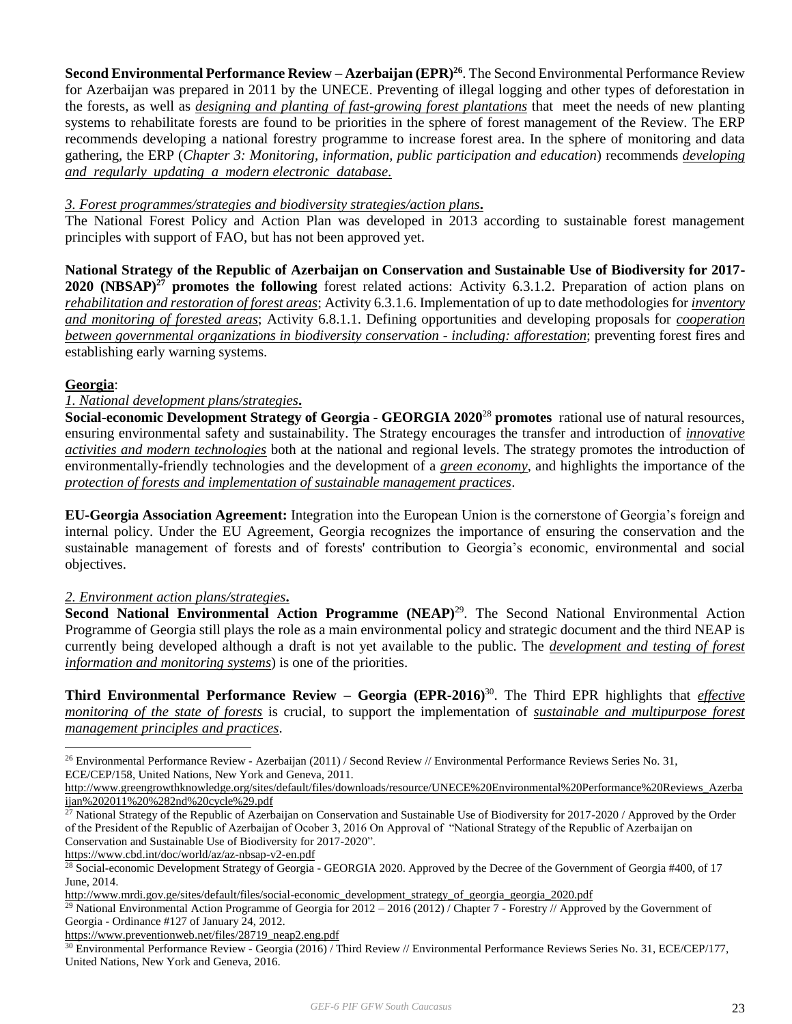**Second Environmental Performance Review – Azerbaijan (EPR)<sup>26</sup>**. The Second Environmental Performance Review for Azerbaijan was prepared in 2011 by the UNECE. Preventing of illegal logging and other types of deforestation in the forests, as well as *designing and planting of fast-growing forest plantations* that meet the needs of new planting systems to rehabilitate forests are found to be priorities in the sphere of forest management of the Review. The ERP recommends developing a national forestry programme to increase forest area. In the sphere of monitoring and data gathering, the ERP (*Chapter 3: Monitoring, information, public participation and education*) recommends *developing and regularly updating a modern electronic database.*

#### *3. Forest programmes/strategies and biodiversity strategies/action plans***.**

The National Forest Policy and Action Plan was developed in 2013 according to sustainable forest management principles with support of FAO, but has not been approved yet.

**National Strategy of the Republic of Azerbaijan on Conservation and Sustainable Use of Biodiversity for 2017- 2020 (NBSAP)<sup>27</sup> promotes the following** forest related actions: Activity 6.3.1.2. Preparation of action plans on *rehabilitation and restoration of forest areas*; Activity 6.3.1.6. Implementation of up to date methodologies for *inventory and monitoring of forested areas*; Activity 6.8.1.1. Defining opportunities and developing proposals for *cooperation between governmental organizations in biodiversity conservation - including: afforestation*; preventing forest fires and establishing early warning systems.

# **Georgia**:

 $\overline{a}$ 

#### *1. National development plans/strategies***.**

**Social-economic Development Strategy of Georgia - GEORGIA 2020**<sup>28</sup> **promotes** rational use of natural resources, ensuring environmental safety and sustainability. The Strategy encourages the transfer and introduction of *innovative activities and modern technologies* both at the national and regional levels. The strategy promotes the introduction of environmentally-friendly technologies and the development of a *green economy*, and highlights the importance of the *protection of forests and implementation of sustainable management practices*.

**EU-Georgia Association Agreement:** Integration into the European Union is the cornerstone of Georgia's foreign and internal policy. Under the EU Agreement, Georgia recognizes the importance of ensuring the conservation and the sustainable management of forests and of forests' contribution to Georgia's economic, environmental and social objectives.

#### *2. Environment action plans/strategies***.**

**Second National Environmental Action Programme (NEAP)<sup>29</sup>. The Second National Environmental Action** Programme of Georgia still plays the role as a main environmental policy and strategic document and the third NEAP is currently being developed although a draft is not yet available to the public. The *development and testing of forest information and monitoring systems*) is one of the priorities.

**Third Environmental Performance Review – Georgia (EPR-2016)**<sup>30</sup>. The Third EPR highlights that *effective monitoring of the state of forests* is crucial, to support the implementation of *sustainable and multipurpose forest management principles and practices*.

<https://www.cbd.int/doc/world/az/az-nbsap-v2-en.pdf>

<sup>26</sup> Environmental Performance Review - Azerbaijan (2011) / Second Review // Environmental Performance Reviews Series No. 31, ECE/CEP/158, United Nations, New York and Geneva, 2011.

[http://www.greengrowthknowledge.org/sites/default/files/downloads/resource/UNECE%20Environmental%20Performance%20Reviews\\_Azerba](http://www.greengrowthknowledge.org/sites/default/files/downloads/resource/UNECE%20Environmental%20Performance%20Reviews_Azerbaijan%202011%20%282nd%20cycle%29.pdf) [ijan%202011%20%282nd%20cycle%29.pdf](http://www.greengrowthknowledge.org/sites/default/files/downloads/resource/UNECE%20Environmental%20Performance%20Reviews_Azerbaijan%202011%20%282nd%20cycle%29.pdf)

 $^{27}$  National Strategy of the Republic of Azerbaijan on Conservation and Sustainable Use of Biodiversity for 2017-2020 / Approved by the Order of the President of the Republic of Azerbaijan of Ocober 3, 2016 On Approval of "National Strategy of the Republic of Azerbaijan on Conservation and Sustainable Use of Biodiversity for 2017-2020".

<sup>&</sup>lt;sup>28</sup> Social-economic Development Strategy of Georgia - GEORGIA 2020. Approved by the Decree of the Government of Georgia #400, of 17 June, 2014.

[http://www.mrdi.gov.ge/sites/default/files/social-economic\\_development\\_strategy\\_of\\_georgia\\_georgia\\_2020.pdf](http://www.mrdi.gov.ge/sites/default/files/social-economic_development_strategy_of_georgia_georgia_2020.pdf)

<sup>&</sup>lt;sup>29</sup> National Environmental Action Programme of Georgia for  $2012 - 2016 (2012)$  / Chapter 7 - Forestry // Approved by the Government of Georgia - Ordinance #127 of January 24, 2012.

[https://www.preventionweb.net/files/28719\\_neap2.eng.pdf](https://www.preventionweb.net/files/28719_neap2.eng.pdf)

<sup>&</sup>lt;sup>30</sup> Environmental Performance Review - Georgia (2016) / Third Review // Environmental Performance Reviews Series No. 31, ECE/CEP/177, United Nations, New York and Geneva, 2016.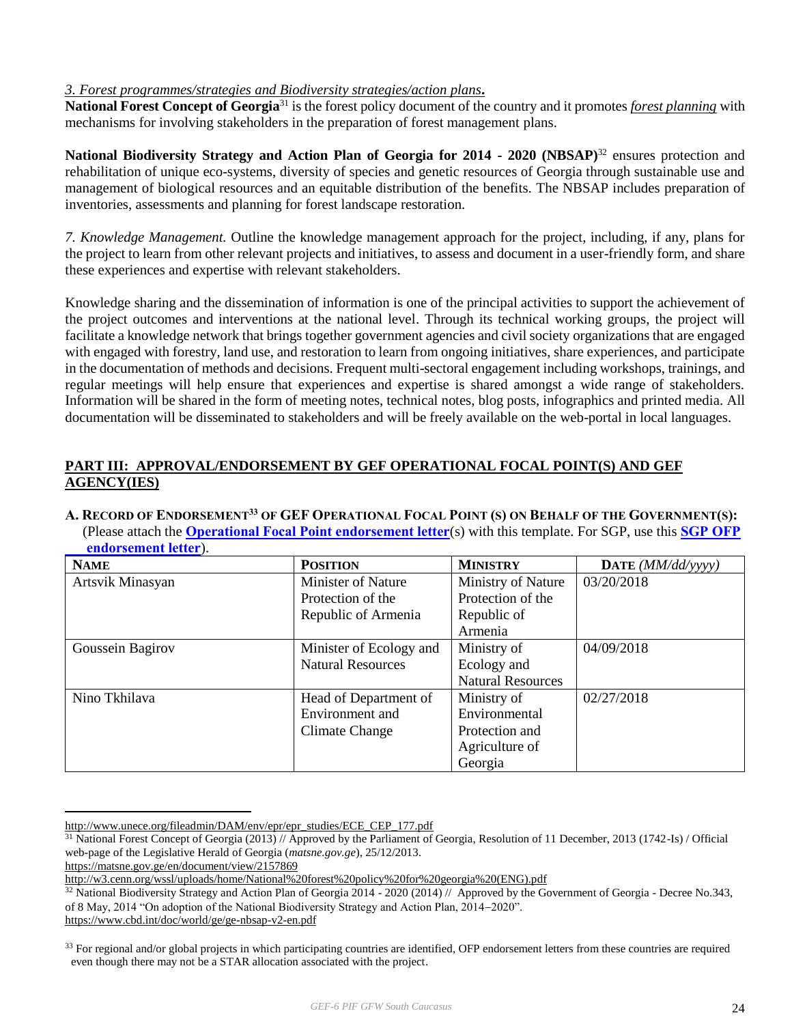#### *3. Forest programmes/strategies and Biodiversity strategies/action plans***.**

**National Forest Concept of Georgia**<sup>31</sup> is the forest policy document of the country and it promotes *forest planning* with mechanisms for involving stakeholders in the preparation of forest management plans.

**National Biodiversity Strategy and Action Plan of Georgia for 2014 - 2020 (NBSAP)**<sup>32</sup> ensures protection and rehabilitation of unique eco-systems, diversity of species and genetic resources of Georgia through sustainable use and management of biological resources and an equitable distribution of the benefits. The NBSAP includes preparation of inventories, assessments and planning for forest landscape restoration.

*7. Knowledge Management.* Outline the knowledge management approach for the project, including, if any, plans for the project to learn from other relevant projects and initiatives, to assess and document in a user-friendly form, and share these experiences and expertise with relevant stakeholders.

Knowledge sharing and the dissemination of information is one of the principal activities to support the achievement of the project outcomes and interventions at the national level. Through its technical working groups, the project will facilitate a knowledge network that brings together government agencies and civil society organizations that are engaged with engaged with forestry, land use, and restoration to learn from ongoing initiatives, share experiences, and participate in the documentation of methods and decisions. Frequent multi-sectoral engagement including workshops, trainings, and regular meetings will help ensure that experiences and expertise is shared amongst a wide range of stakeholders. Information will be shared in the form of meeting notes, technical notes, blog posts, infographics and printed media. All documentation will be disseminated to stakeholders and will be freely available on the web-portal in local languages.

# **PART III: APPROVAL/ENDORSEMENT BY GEF OPERATIONAL FOCAL POINT(S) AND GEF AGENCY(IES)**

A. RECORD OF ENDORSEMENT<sup>33</sup> OF GEF OPERATIONAL FOCAL POINT (S) ON BEHALF OF THE GOVERNMENT(S): (Please attach the **[Operational Focal Point endorsement letter](https://www.thegef.org/gef/sites/thegef.org/files/webpage_attached/OFP%20Endorsement%20Letter%20Template-Dec2014.doc)**(s) with this template. For SGP, use this **[SGP OFP](https://www.thegef.org/gef/sites/thegef.org/files/webpage_attached/OFP%20Endorsement%20of%20STAR%20for%20SGP%20Dec2014.docx)   [endorsement letter](https://www.thegef.org/gef/sites/thegef.org/files/webpage_attached/OFP%20Endorsement%20of%20STAR%20for%20SGP%20Dec2014.docx)**).

| <b>NAME</b>      | <b>POSITION</b>           | <b>MINISTRY</b>          | DATE $(MM/dd/vyyy)$ |
|------------------|---------------------------|--------------------------|---------------------|
| Artsvik Minasyan | <b>Minister of Nature</b> | Ministry of Nature       | 03/20/2018          |
|                  | Protection of the         | Protection of the        |                     |
|                  | Republic of Armenia       | Republic of              |                     |
|                  |                           | Armenia                  |                     |
| Goussein Bagirov | Minister of Ecology and   | Ministry of              | 04/09/2018          |
|                  | <b>Natural Resources</b>  | Ecology and              |                     |
|                  |                           | <b>Natural Resources</b> |                     |
| Nino Tkhilava    | Head of Department of     | Ministry of              | 02/27/2018          |
|                  | Environment and           | Environmental            |                     |
|                  | Climate Change            | Protection and           |                     |
|                  |                           | Agriculture of           |                     |
|                  |                           | Georgia                  |                     |

[http://www.unece.org/fileadmin/DAM/env/epr/epr\\_studies/ECE\\_CEP\\_177.pdf](http://www.unece.org/fileadmin/DAM/env/epr/epr_studies/ECE_CEP_177.pdf)

 $\overline{a}$ 

<https://www.cbd.int/doc/world/ge/ge-nbsap-v2-en.pdf>

 $31$  National Forest Concept of Georgia (2013) // Approved by the Parliament of Georgia, Resolution of 11 December, 2013 (1742-Is) / Official web-page of the Legislative Herald of Georgia (*matsne.gov.ge*), 25/12/2013.

<https://matsne.gov.ge/en/document/view/2157869>

[http://w3.cenn.org/wssl/uploads/home/National%20forest%20policy%20for%20georgia%20\(ENG\).pdf](http://w3.cenn.org/wssl/uploads/home/National%20forest%20policy%20for%20georgia%20(ENG).pdf)

 $32$  National Biodiversity Strategy and Action Plan of Georgia 2014 - 2020 (2014) // Approved by the Government of Georgia - Decree No.343, of 8 May, 2014 "On adoption of the National Biodiversity Strategy and Action Plan, 2014–2020".

 $33$  For regional and/or global projects in which participating countries are identified, OFP endorsement letters from these countries are required even though there may not be a STAR allocation associated with the project.